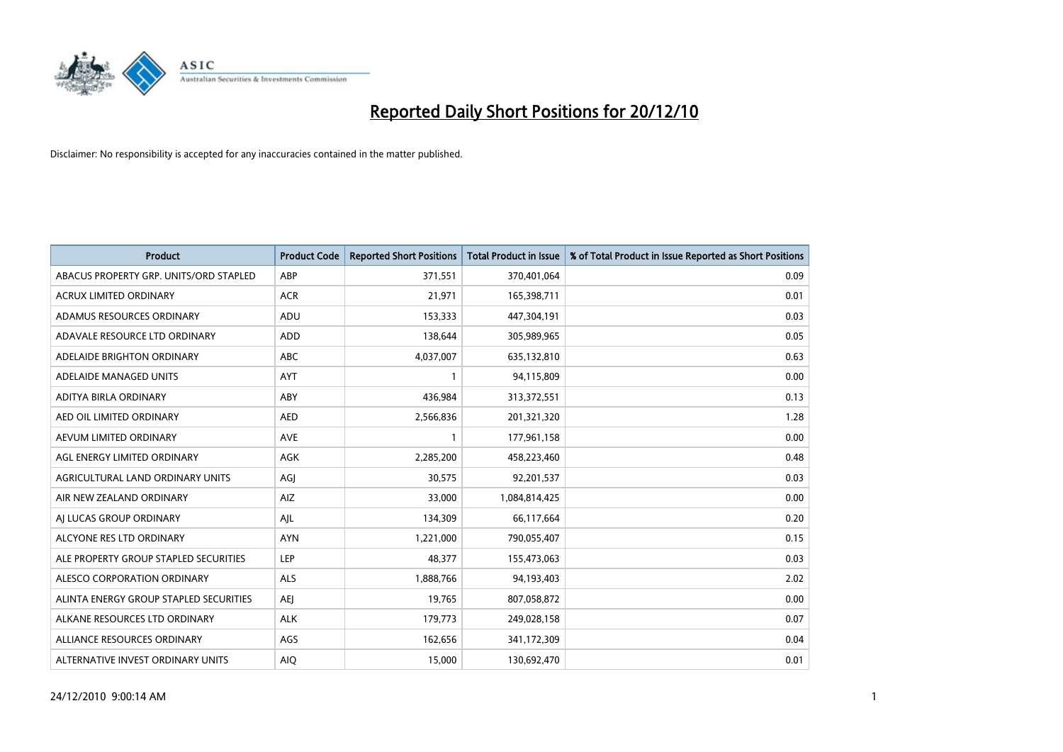

| <b>Product</b>                         | <b>Product Code</b> | <b>Reported Short Positions</b> | Total Product in Issue | % of Total Product in Issue Reported as Short Positions |
|----------------------------------------|---------------------|---------------------------------|------------------------|---------------------------------------------------------|
| ABACUS PROPERTY GRP. UNITS/ORD STAPLED | ABP                 | 371,551                         | 370,401,064            | 0.09                                                    |
| ACRUX LIMITED ORDINARY                 | <b>ACR</b>          | 21,971                          | 165,398,711            | 0.01                                                    |
| ADAMUS RESOURCES ORDINARY              | ADU                 | 153,333                         | 447,304,191            | 0.03                                                    |
| ADAVALE RESOURCE LTD ORDINARY          | <b>ADD</b>          | 138,644                         | 305,989,965            | 0.05                                                    |
| ADELAIDE BRIGHTON ORDINARY             | <b>ABC</b>          | 4,037,007                       | 635,132,810            | 0.63                                                    |
| ADELAIDE MANAGED UNITS                 | <b>AYT</b>          |                                 | 94,115,809             | 0.00                                                    |
| ADITYA BIRLA ORDINARY                  | ABY                 | 436.984                         | 313,372,551            | 0.13                                                    |
| AED OIL LIMITED ORDINARY               | <b>AED</b>          | 2,566,836                       | 201,321,320            | 1.28                                                    |
| AEVUM LIMITED ORDINARY                 | <b>AVE</b>          |                                 | 177,961,158            | 0.00                                                    |
| AGL ENERGY LIMITED ORDINARY            | <b>AGK</b>          | 2,285,200                       | 458,223,460            | 0.48                                                    |
| AGRICULTURAL LAND ORDINARY UNITS       | AGJ                 | 30,575                          | 92,201,537             | 0.03                                                    |
| AIR NEW ZEALAND ORDINARY               | AIZ                 | 33,000                          | 1,084,814,425          | 0.00                                                    |
| AI LUCAS GROUP ORDINARY                | AJL                 | 134,309                         | 66,117,664             | 0.20                                                    |
| ALCYONE RES LTD ORDINARY               | <b>AYN</b>          | 1,221,000                       | 790,055,407            | 0.15                                                    |
| ALE PROPERTY GROUP STAPLED SECURITIES  | <b>LEP</b>          | 48,377                          | 155,473,063            | 0.03                                                    |
| ALESCO CORPORATION ORDINARY            | ALS                 | 1,888,766                       | 94,193,403             | 2.02                                                    |
| ALINTA ENERGY GROUP STAPLED SECURITIES | <b>AEI</b>          | 19,765                          | 807,058,872            | 0.00                                                    |
| ALKANE RESOURCES LTD ORDINARY          | <b>ALK</b>          | 179,773                         | 249,028,158            | 0.07                                                    |
| ALLIANCE RESOURCES ORDINARY            | AGS                 | 162,656                         | 341,172,309            | 0.04                                                    |
| ALTERNATIVE INVEST ORDINARY UNITS      | <b>AIO</b>          | 15,000                          | 130,692,470            | 0.01                                                    |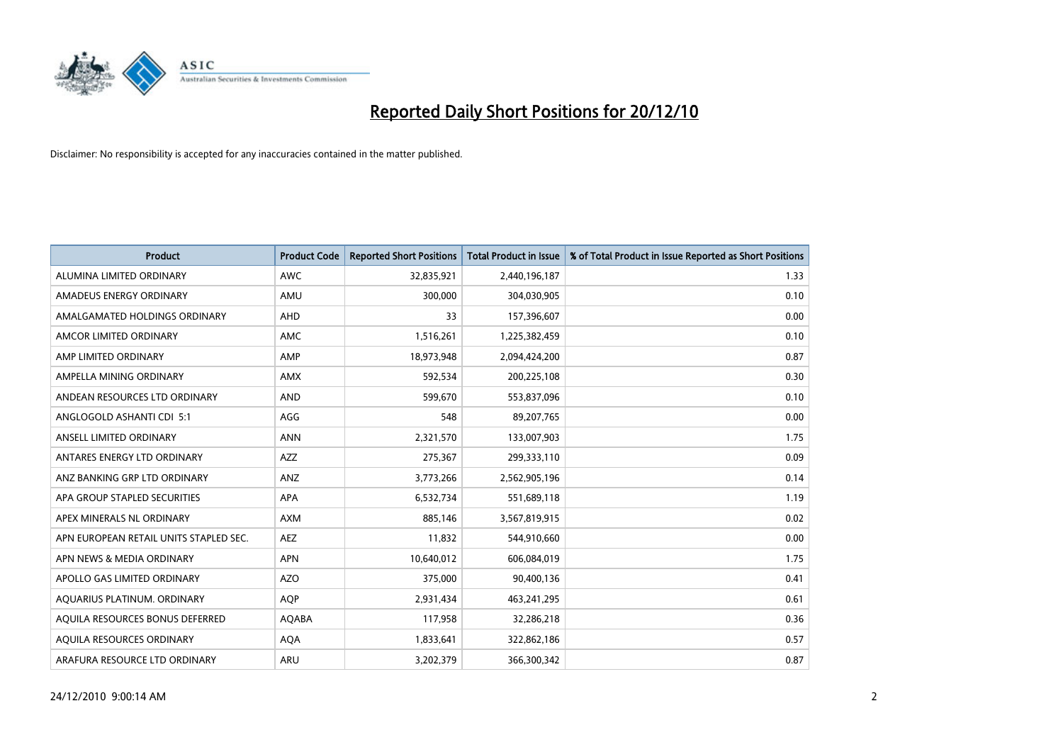

| <b>Product</b>                         | <b>Product Code</b> | <b>Reported Short Positions</b> | <b>Total Product in Issue</b> | % of Total Product in Issue Reported as Short Positions |
|----------------------------------------|---------------------|---------------------------------|-------------------------------|---------------------------------------------------------|
| ALUMINA LIMITED ORDINARY               | <b>AWC</b>          | 32,835,921                      | 2,440,196,187                 | 1.33                                                    |
| AMADEUS ENERGY ORDINARY                | AMU                 | 300,000                         | 304,030,905                   | 0.10                                                    |
| AMALGAMATED HOLDINGS ORDINARY          | AHD                 | 33                              | 157,396,607                   | 0.00                                                    |
| AMCOR LIMITED ORDINARY                 | <b>AMC</b>          | 1,516,261                       | 1,225,382,459                 | 0.10                                                    |
| AMP LIMITED ORDINARY                   | AMP                 | 18,973,948                      | 2,094,424,200                 | 0.87                                                    |
| AMPELLA MINING ORDINARY                | <b>AMX</b>          | 592,534                         | 200,225,108                   | 0.30                                                    |
| ANDEAN RESOURCES LTD ORDINARY          | <b>AND</b>          | 599.670                         | 553,837,096                   | 0.10                                                    |
| ANGLOGOLD ASHANTI CDI 5:1              | AGG                 | 548                             | 89,207,765                    | 0.00                                                    |
| ANSELL LIMITED ORDINARY                | <b>ANN</b>          | 2,321,570                       | 133,007,903                   | 1.75                                                    |
| ANTARES ENERGY LTD ORDINARY            | <b>AZZ</b>          | 275,367                         | 299,333,110                   | 0.09                                                    |
| ANZ BANKING GRP LTD ORDINARY           | ANZ                 | 3,773,266                       | 2,562,905,196                 | 0.14                                                    |
| APA GROUP STAPLED SECURITIES           | <b>APA</b>          | 6,532,734                       | 551,689,118                   | 1.19                                                    |
| APEX MINERALS NL ORDINARY              | <b>AXM</b>          | 885,146                         | 3,567,819,915                 | 0.02                                                    |
| APN EUROPEAN RETAIL UNITS STAPLED SEC. | <b>AEZ</b>          | 11,832                          | 544,910,660                   | 0.00                                                    |
| APN NEWS & MEDIA ORDINARY              | <b>APN</b>          | 10,640,012                      | 606,084,019                   | 1.75                                                    |
| APOLLO GAS LIMITED ORDINARY            | <b>AZO</b>          | 375,000                         | 90,400,136                    | 0.41                                                    |
| AQUARIUS PLATINUM. ORDINARY            | <b>AQP</b>          | 2,931,434                       | 463,241,295                   | 0.61                                                    |
| AQUILA RESOURCES BONUS DEFERRED        | AQABA               | 117,958                         | 32,286,218                    | 0.36                                                    |
| <b>AOUILA RESOURCES ORDINARY</b>       | <b>AQA</b>          | 1,833,641                       | 322,862,186                   | 0.57                                                    |
| ARAFURA RESOURCE LTD ORDINARY          | <b>ARU</b>          | 3,202,379                       | 366,300,342                   | 0.87                                                    |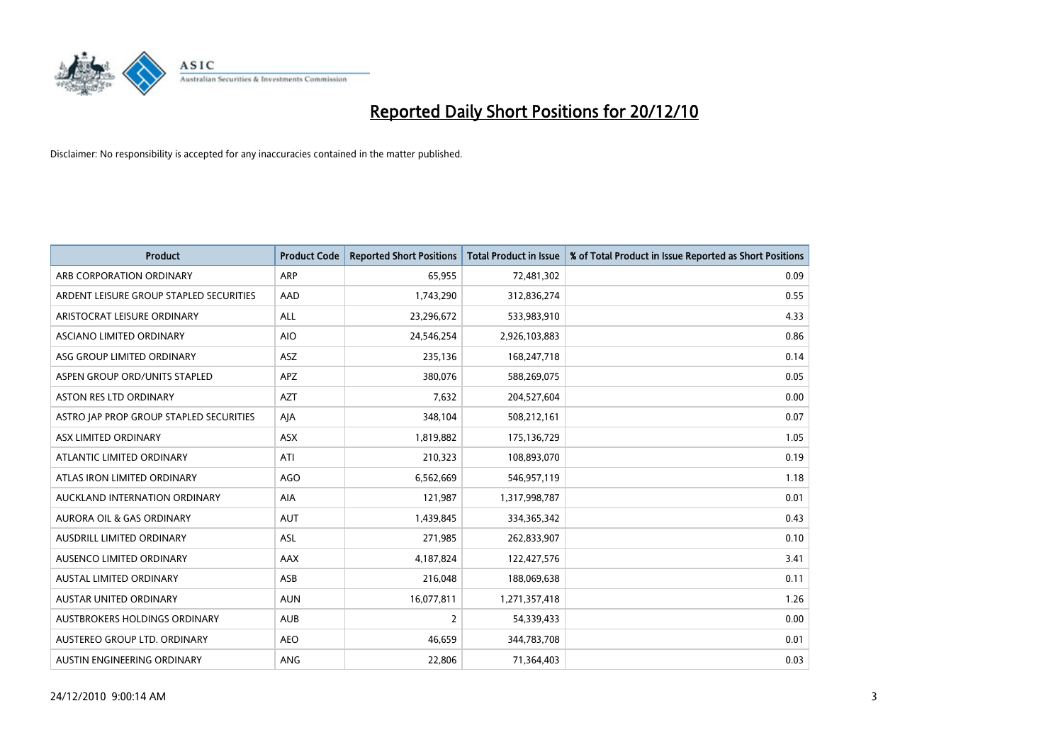

| <b>Product</b>                          | <b>Product Code</b> | <b>Reported Short Positions</b> | Total Product in Issue | % of Total Product in Issue Reported as Short Positions |
|-----------------------------------------|---------------------|---------------------------------|------------------------|---------------------------------------------------------|
| ARB CORPORATION ORDINARY                | <b>ARP</b>          | 65,955                          | 72,481,302             | 0.09                                                    |
| ARDENT LEISURE GROUP STAPLED SECURITIES | AAD                 | 1,743,290                       | 312,836,274            | 0.55                                                    |
| ARISTOCRAT LEISURE ORDINARY             | ALL                 | 23,296,672                      | 533,983,910            | 4.33                                                    |
| <b>ASCIANO LIMITED ORDINARY</b>         | <b>AIO</b>          | 24,546,254                      | 2,926,103,883          | 0.86                                                    |
| ASG GROUP LIMITED ORDINARY              | <b>ASZ</b>          | 235,136                         | 168,247,718            | 0.14                                                    |
| ASPEN GROUP ORD/UNITS STAPLED           | <b>APZ</b>          | 380,076                         | 588,269,075            | 0.05                                                    |
| <b>ASTON RES LTD ORDINARY</b>           | <b>AZT</b>          | 7,632                           | 204,527,604            | 0.00                                                    |
| ASTRO JAP PROP GROUP STAPLED SECURITIES | AJA                 | 348,104                         | 508,212,161            | 0.07                                                    |
| ASX LIMITED ORDINARY                    | ASX                 | 1,819,882                       | 175,136,729            | 1.05                                                    |
| ATLANTIC LIMITED ORDINARY               | ATI                 | 210,323                         | 108,893,070            | 0.19                                                    |
| ATLAS IRON LIMITED ORDINARY             | <b>AGO</b>          | 6,562,669                       | 546,957,119            | 1.18                                                    |
| AUCKLAND INTERNATION ORDINARY           | AIA                 | 121,987                         | 1,317,998,787          | 0.01                                                    |
| AURORA OIL & GAS ORDINARY               | <b>AUT</b>          | 1,439,845                       | 334,365,342            | 0.43                                                    |
| AUSDRILL LIMITED ORDINARY               | <b>ASL</b>          | 271,985                         | 262,833,907            | 0.10                                                    |
| AUSENCO LIMITED ORDINARY                | AAX                 | 4,187,824                       | 122,427,576            | 3.41                                                    |
| AUSTAL LIMITED ORDINARY                 | ASB                 | 216,048                         | 188,069,638            | 0.11                                                    |
| AUSTAR UNITED ORDINARY                  | <b>AUN</b>          | 16,077,811                      | 1,271,357,418          | 1.26                                                    |
| AUSTBROKERS HOLDINGS ORDINARY           | <b>AUB</b>          | 2                               | 54,339,433             | 0.00                                                    |
| AUSTEREO GROUP LTD. ORDINARY            | <b>AEO</b>          | 46,659                          | 344,783,708            | 0.01                                                    |
| AUSTIN ENGINEERING ORDINARY             | ANG                 | 22,806                          | 71,364,403             | 0.03                                                    |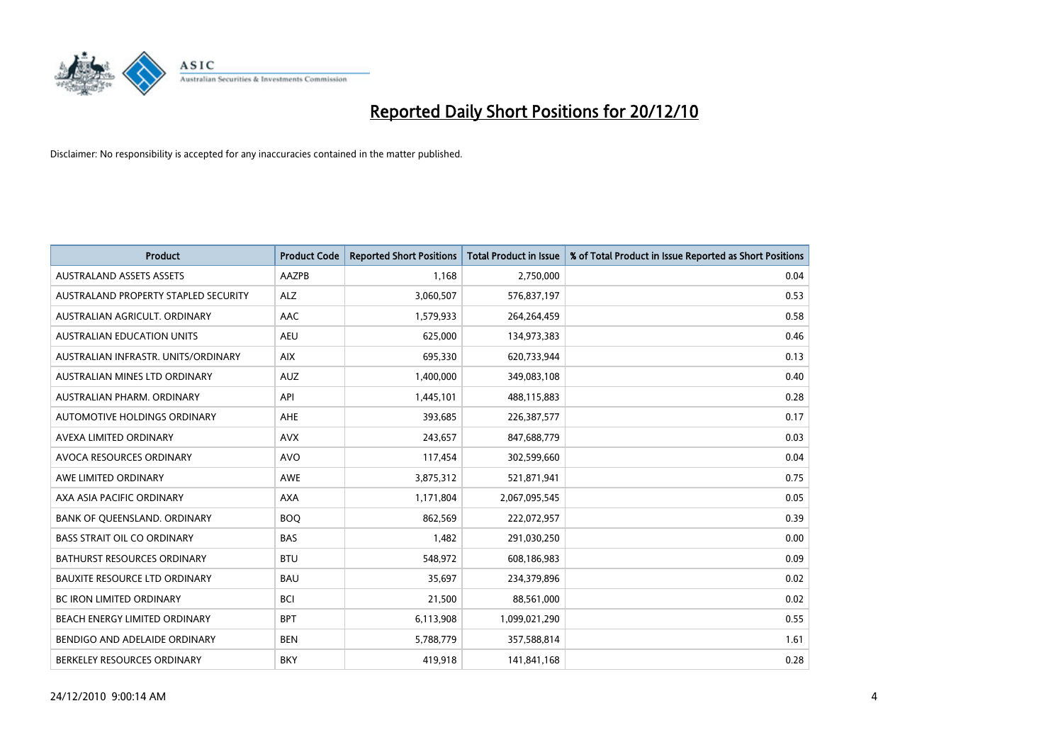

| <b>Product</b>                       | <b>Product Code</b> | <b>Reported Short Positions</b> | <b>Total Product in Issue</b> | % of Total Product in Issue Reported as Short Positions |
|--------------------------------------|---------------------|---------------------------------|-------------------------------|---------------------------------------------------------|
| <b>AUSTRALAND ASSETS ASSETS</b>      | AAZPB               | 1.168                           | 2,750,000                     | 0.04                                                    |
| AUSTRALAND PROPERTY STAPLED SECURITY | ALZ                 | 3,060,507                       | 576,837,197                   | 0.53                                                    |
| AUSTRALIAN AGRICULT, ORDINARY        | AAC                 | 1,579,933                       | 264,264,459                   | 0.58                                                    |
| <b>AUSTRALIAN EDUCATION UNITS</b>    | <b>AEU</b>          | 625,000                         | 134,973,383                   | 0.46                                                    |
| AUSTRALIAN INFRASTR, UNITS/ORDINARY  | <b>AIX</b>          | 695,330                         | 620,733,944                   | 0.13                                                    |
| AUSTRALIAN MINES LTD ORDINARY        | <b>AUZ</b>          | 1,400,000                       | 349,083,108                   | 0.40                                                    |
| AUSTRALIAN PHARM, ORDINARY           | API                 | 1,445,101                       | 488,115,883                   | 0.28                                                    |
| AUTOMOTIVE HOLDINGS ORDINARY         | <b>AHE</b>          | 393,685                         | 226,387,577                   | 0.17                                                    |
| AVEXA LIMITED ORDINARY               | <b>AVX</b>          | 243,657                         | 847,688,779                   | 0.03                                                    |
| AVOCA RESOURCES ORDINARY             | <b>AVO</b>          | 117,454                         | 302,599,660                   | 0.04                                                    |
| AWE LIMITED ORDINARY                 | <b>AWE</b>          | 3,875,312                       | 521,871,941                   | 0.75                                                    |
| AXA ASIA PACIFIC ORDINARY            | <b>AXA</b>          | 1,171,804                       | 2,067,095,545                 | 0.05                                                    |
| BANK OF QUEENSLAND. ORDINARY         | <b>BOQ</b>          | 862,569                         | 222,072,957                   | 0.39                                                    |
| <b>BASS STRAIT OIL CO ORDINARY</b>   | <b>BAS</b>          | 1,482                           | 291,030,250                   | 0.00                                                    |
| <b>BATHURST RESOURCES ORDINARY</b>   | <b>BTU</b>          | 548,972                         | 608,186,983                   | 0.09                                                    |
| BAUXITE RESOURCE LTD ORDINARY        | <b>BAU</b>          | 35,697                          | 234,379,896                   | 0.02                                                    |
| BC IRON LIMITED ORDINARY             | <b>BCI</b>          | 21,500                          | 88,561,000                    | 0.02                                                    |
| BEACH ENERGY LIMITED ORDINARY        | <b>BPT</b>          | 6,113,908                       | 1,099,021,290                 | 0.55                                                    |
| BENDIGO AND ADELAIDE ORDINARY        | <b>BEN</b>          | 5,788,779                       | 357,588,814                   | 1.61                                                    |
| BERKELEY RESOURCES ORDINARY          | <b>BKY</b>          | 419,918                         | 141,841,168                   | 0.28                                                    |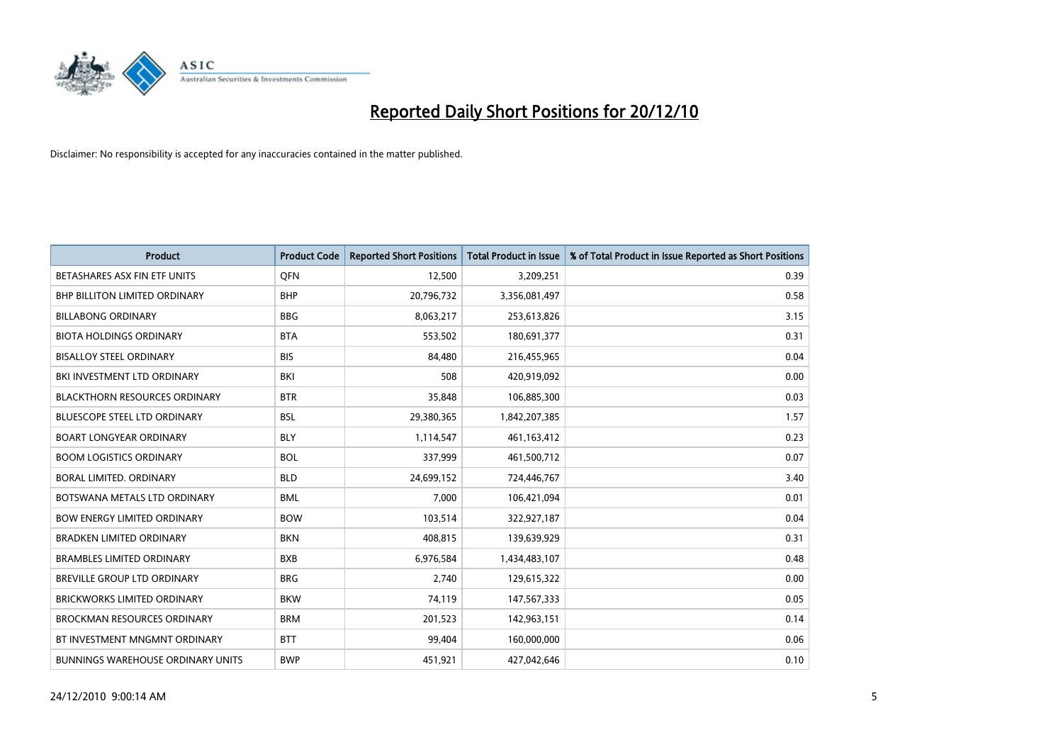

| <b>Product</b>                           | <b>Product Code</b> | <b>Reported Short Positions</b> | <b>Total Product in Issue</b> | % of Total Product in Issue Reported as Short Positions |
|------------------------------------------|---------------------|---------------------------------|-------------------------------|---------------------------------------------------------|
| BETASHARES ASX FIN ETF UNITS             | <b>OFN</b>          | 12,500                          | 3,209,251                     | 0.39                                                    |
| <b>BHP BILLITON LIMITED ORDINARY</b>     | <b>BHP</b>          | 20,796,732                      | 3,356,081,497                 | 0.58                                                    |
| <b>BILLABONG ORDINARY</b>                | <b>BBG</b>          | 8,063,217                       | 253,613,826                   | 3.15                                                    |
| <b>BIOTA HOLDINGS ORDINARY</b>           | <b>BTA</b>          | 553,502                         | 180,691,377                   | 0.31                                                    |
| <b>BISALLOY STEEL ORDINARY</b>           | <b>BIS</b>          | 84,480                          | 216,455,965                   | 0.04                                                    |
| BKI INVESTMENT LTD ORDINARY              | <b>BKI</b>          | 508                             | 420,919,092                   | 0.00                                                    |
| <b>BLACKTHORN RESOURCES ORDINARY</b>     | <b>BTR</b>          | 35,848                          | 106,885,300                   | 0.03                                                    |
| <b>BLUESCOPE STEEL LTD ORDINARY</b>      | <b>BSL</b>          | 29,380,365                      | 1,842,207,385                 | 1.57                                                    |
| <b>BOART LONGYEAR ORDINARY</b>           | <b>BLY</b>          | 1,114,547                       | 461,163,412                   | 0.23                                                    |
| <b>BOOM LOGISTICS ORDINARY</b>           | <b>BOL</b>          | 337,999                         | 461,500,712                   | 0.07                                                    |
| BORAL LIMITED. ORDINARY                  | <b>BLD</b>          | 24,699,152                      | 724,446,767                   | 3.40                                                    |
| BOTSWANA METALS LTD ORDINARY             | <b>BML</b>          | 7,000                           | 106,421,094                   | 0.01                                                    |
| <b>BOW ENERGY LIMITED ORDINARY</b>       | <b>BOW</b>          | 103,514                         | 322,927,187                   | 0.04                                                    |
| <b>BRADKEN LIMITED ORDINARY</b>          | <b>BKN</b>          | 408,815                         | 139,639,929                   | 0.31                                                    |
| <b>BRAMBLES LIMITED ORDINARY</b>         | <b>BXB</b>          | 6,976,584                       | 1,434,483,107                 | 0.48                                                    |
| BREVILLE GROUP LTD ORDINARY              | <b>BRG</b>          | 2,740                           | 129,615,322                   | 0.00                                                    |
| <b>BRICKWORKS LIMITED ORDINARY</b>       | <b>BKW</b>          | 74,119                          | 147,567,333                   | 0.05                                                    |
| <b>BROCKMAN RESOURCES ORDINARY</b>       | <b>BRM</b>          | 201,523                         | 142,963,151                   | 0.14                                                    |
| BT INVESTMENT MNGMNT ORDINARY            | <b>BTT</b>          | 99,404                          | 160,000,000                   | 0.06                                                    |
| <b>BUNNINGS WAREHOUSE ORDINARY UNITS</b> | <b>BWP</b>          | 451,921                         | 427,042,646                   | 0.10                                                    |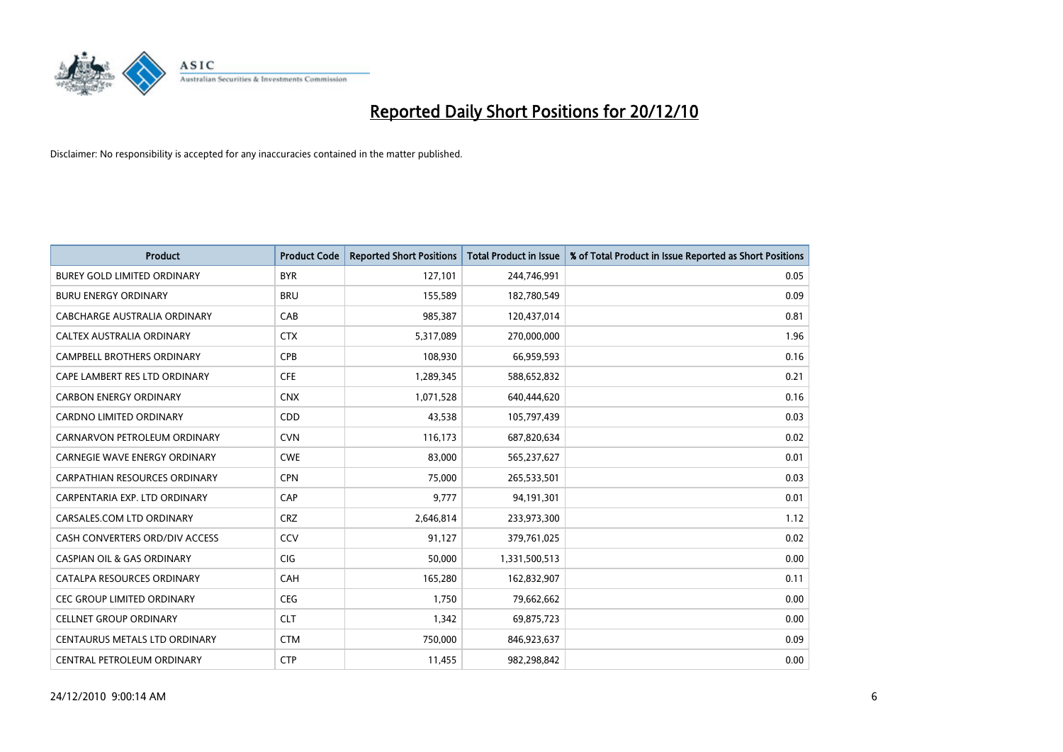

| <b>Product</b>                        | <b>Product Code</b> | <b>Reported Short Positions</b> | Total Product in Issue | % of Total Product in Issue Reported as Short Positions |
|---------------------------------------|---------------------|---------------------------------|------------------------|---------------------------------------------------------|
| <b>BUREY GOLD LIMITED ORDINARY</b>    | <b>BYR</b>          | 127,101                         | 244,746,991            | 0.05                                                    |
| <b>BURU ENERGY ORDINARY</b>           | <b>BRU</b>          | 155,589                         | 182,780,549            | 0.09                                                    |
| CABCHARGE AUSTRALIA ORDINARY          | CAB                 | 985,387                         | 120,437,014            | 0.81                                                    |
| CALTEX AUSTRALIA ORDINARY             | <b>CTX</b>          | 5,317,089                       | 270,000,000            | 1.96                                                    |
| <b>CAMPBELL BROTHERS ORDINARY</b>     | <b>CPB</b>          | 108,930                         | 66,959,593             | 0.16                                                    |
| CAPE LAMBERT RES LTD ORDINARY         | <b>CFE</b>          | 1,289,345                       | 588,652,832            | 0.21                                                    |
| <b>CARBON ENERGY ORDINARY</b>         | <b>CNX</b>          | 1,071,528                       | 640,444,620            | 0.16                                                    |
| CARDNO LIMITED ORDINARY               | CDD                 | 43,538                          | 105,797,439            | 0.03                                                    |
| CARNARVON PETROLEUM ORDINARY          | <b>CVN</b>          | 116,173                         | 687,820,634            | 0.02                                                    |
| <b>CARNEGIE WAVE ENERGY ORDINARY</b>  | <b>CWE</b>          | 83,000                          | 565,237,627            | 0.01                                                    |
| CARPATHIAN RESOURCES ORDINARY         | <b>CPN</b>          | 75,000                          | 265,533,501            | 0.03                                                    |
| CARPENTARIA EXP. LTD ORDINARY         | CAP                 | 9,777                           | 94,191,301             | 0.01                                                    |
| CARSALES.COM LTD ORDINARY             | <b>CRZ</b>          | 2,646,814                       | 233,973,300            | 1.12                                                    |
| CASH CONVERTERS ORD/DIV ACCESS        | CCV                 | 91,127                          | 379,761,025            | 0.02                                                    |
| <b>CASPIAN OIL &amp; GAS ORDINARY</b> | <b>CIG</b>          | 50,000                          | 1,331,500,513          | 0.00                                                    |
| CATALPA RESOURCES ORDINARY            | CAH                 | 165,280                         | 162,832,907            | 0.11                                                    |
| CEC GROUP LIMITED ORDINARY            | <b>CEG</b>          | 1,750                           | 79,662,662             | 0.00                                                    |
| <b>CELLNET GROUP ORDINARY</b>         | <b>CLT</b>          | 1,342                           | 69,875,723             | 0.00                                                    |
| CENTAURUS METALS LTD ORDINARY         | <b>CTM</b>          | 750,000                         | 846,923,637            | 0.09                                                    |
| CENTRAL PETROLEUM ORDINARY            | <b>CTP</b>          | 11,455                          | 982,298,842            | 0.00                                                    |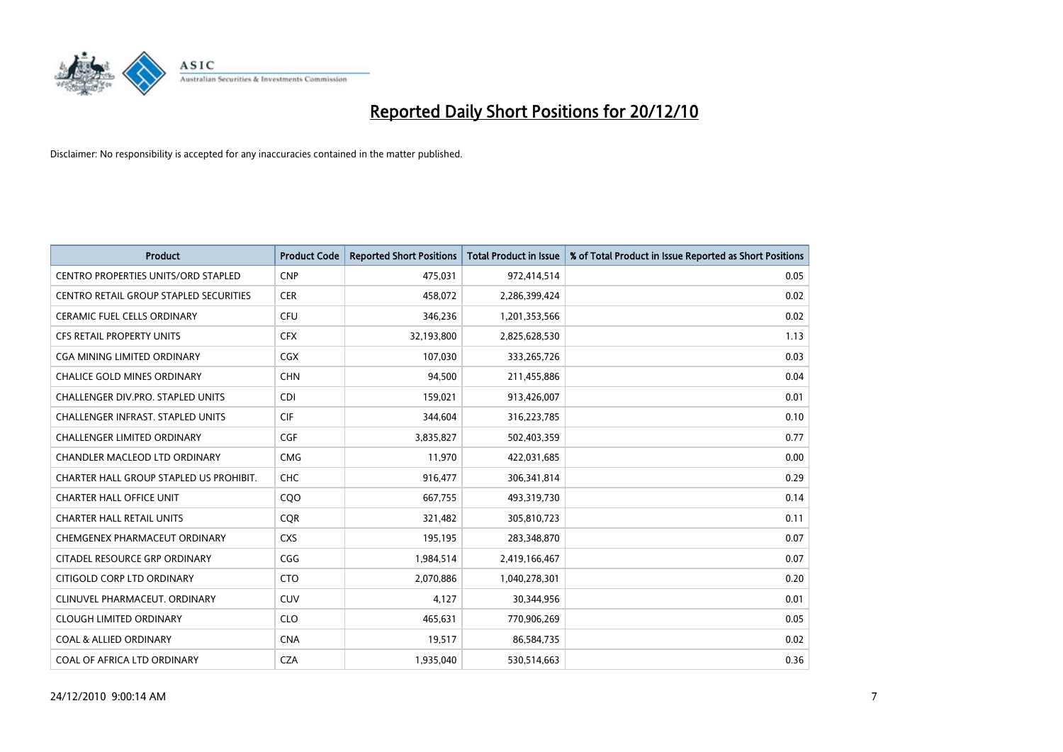

| <b>Product</b>                             | <b>Product Code</b> | <b>Reported Short Positions</b> | Total Product in Issue | % of Total Product in Issue Reported as Short Positions |
|--------------------------------------------|---------------------|---------------------------------|------------------------|---------------------------------------------------------|
| <b>CENTRO PROPERTIES UNITS/ORD STAPLED</b> | <b>CNP</b>          | 475,031                         | 972,414,514            | 0.05                                                    |
| CENTRO RETAIL GROUP STAPLED SECURITIES     | <b>CER</b>          | 458,072                         | 2,286,399,424          | 0.02                                                    |
| <b>CERAMIC FUEL CELLS ORDINARY</b>         | <b>CFU</b>          | 346,236                         | 1,201,353,566          | 0.02                                                    |
| <b>CFS RETAIL PROPERTY UNITS</b>           | <b>CFX</b>          | 32,193,800                      | 2,825,628,530          | 1.13                                                    |
| CGA MINING LIMITED ORDINARY                | CGX                 | 107,030                         | 333,265,726            | 0.03                                                    |
| <b>CHALICE GOLD MINES ORDINARY</b>         | <b>CHN</b>          | 94.500                          | 211,455,886            | 0.04                                                    |
| <b>CHALLENGER DIV.PRO. STAPLED UNITS</b>   | <b>CDI</b>          | 159,021                         | 913,426,007            | 0.01                                                    |
| <b>CHALLENGER INFRAST, STAPLED UNITS</b>   | <b>CIF</b>          | 344,604                         | 316,223,785            | 0.10                                                    |
| CHALLENGER LIMITED ORDINARY                | <b>CGF</b>          | 3,835,827                       | 502,403,359            | 0.77                                                    |
| CHANDLER MACLEOD LTD ORDINARY              | <b>CMG</b>          | 11,970                          | 422,031,685            | 0.00                                                    |
| CHARTER HALL GROUP STAPLED US PROHIBIT.    | CHC                 | 916,477                         | 306,341,814            | 0.29                                                    |
| <b>CHARTER HALL OFFICE UNIT</b>            | COO                 | 667,755                         | 493,319,730            | 0.14                                                    |
| <b>CHARTER HALL RETAIL UNITS</b>           | <b>COR</b>          | 321,482                         | 305,810,723            | 0.11                                                    |
| CHEMGENEX PHARMACEUT ORDINARY              | <b>CXS</b>          | 195,195                         | 283,348,870            | 0.07                                                    |
| CITADEL RESOURCE GRP ORDINARY              | CGG                 | 1,984,514                       | 2,419,166,467          | 0.07                                                    |
| CITIGOLD CORP LTD ORDINARY                 | <b>CTO</b>          | 2,070,886                       | 1,040,278,301          | 0.20                                                    |
| CLINUVEL PHARMACEUT, ORDINARY              | CUV                 | 4,127                           | 30,344,956             | 0.01                                                    |
| <b>CLOUGH LIMITED ORDINARY</b>             | <b>CLO</b>          | 465,631                         | 770,906,269            | 0.05                                                    |
| <b>COAL &amp; ALLIED ORDINARY</b>          | <b>CNA</b>          | 19,517                          | 86,584,735             | 0.02                                                    |
| COAL OF AFRICA LTD ORDINARY                | <b>CZA</b>          | 1,935,040                       | 530,514,663            | 0.36                                                    |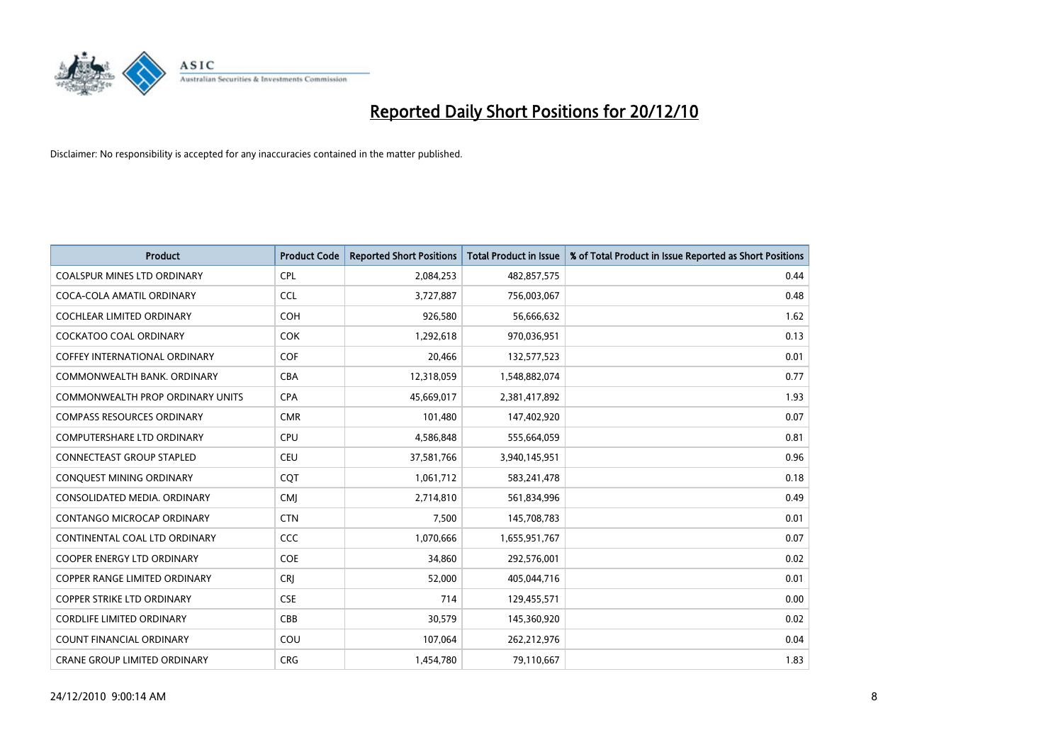

| <b>Product</b>                          | <b>Product Code</b> | <b>Reported Short Positions</b> | <b>Total Product in Issue</b> | % of Total Product in Issue Reported as Short Positions |
|-----------------------------------------|---------------------|---------------------------------|-------------------------------|---------------------------------------------------------|
| <b>COALSPUR MINES LTD ORDINARY</b>      | <b>CPL</b>          | 2,084,253                       | 482,857,575                   | 0.44                                                    |
| COCA-COLA AMATIL ORDINARY               | <b>CCL</b>          | 3,727,887                       | 756,003,067                   | 0.48                                                    |
| <b>COCHLEAR LIMITED ORDINARY</b>        | <b>COH</b>          | 926,580                         | 56,666,632                    | 1.62                                                    |
| COCKATOO COAL ORDINARY                  | <b>COK</b>          | 1,292,618                       | 970,036,951                   | 0.13                                                    |
| <b>COFFEY INTERNATIONAL ORDINARY</b>    | COF                 | 20,466                          | 132,577,523                   | 0.01                                                    |
| COMMONWEALTH BANK, ORDINARY             | <b>CBA</b>          | 12,318,059                      | 1,548,882,074                 | 0.77                                                    |
| <b>COMMONWEALTH PROP ORDINARY UNITS</b> | <b>CPA</b>          | 45,669,017                      | 2,381,417,892                 | 1.93                                                    |
| <b>COMPASS RESOURCES ORDINARY</b>       | <b>CMR</b>          | 101,480                         | 147,402,920                   | 0.07                                                    |
| COMPUTERSHARE LTD ORDINARY              | <b>CPU</b>          | 4,586,848                       | 555,664,059                   | 0.81                                                    |
| <b>CONNECTEAST GROUP STAPLED</b>        | <b>CEU</b>          | 37,581,766                      | 3,940,145,951                 | 0.96                                                    |
| CONQUEST MINING ORDINARY                | CQT                 | 1,061,712                       | 583,241,478                   | 0.18                                                    |
| CONSOLIDATED MEDIA, ORDINARY            | <b>CMI</b>          | 2,714,810                       | 561,834,996                   | 0.49                                                    |
| CONTANGO MICROCAP ORDINARY              | <b>CTN</b>          | 7,500                           | 145,708,783                   | 0.01                                                    |
| CONTINENTAL COAL LTD ORDINARY           | CCC                 | 1,070,666                       | 1,655,951,767                 | 0.07                                                    |
| <b>COOPER ENERGY LTD ORDINARY</b>       | COE                 | 34,860                          | 292,576,001                   | 0.02                                                    |
| COPPER RANGE LIMITED ORDINARY           | <b>CRI</b>          | 52,000                          | 405,044,716                   | 0.01                                                    |
| <b>COPPER STRIKE LTD ORDINARY</b>       | <b>CSE</b>          | 714                             | 129,455,571                   | 0.00                                                    |
| <b>CORDLIFE LIMITED ORDINARY</b>        | CBB                 | 30,579                          | 145,360,920                   | 0.02                                                    |
| <b>COUNT FINANCIAL ORDINARY</b>         | COU                 | 107,064                         | 262,212,976                   | 0.04                                                    |
| <b>CRANE GROUP LIMITED ORDINARY</b>     | <b>CRG</b>          | 1,454,780                       | 79,110,667                    | 1.83                                                    |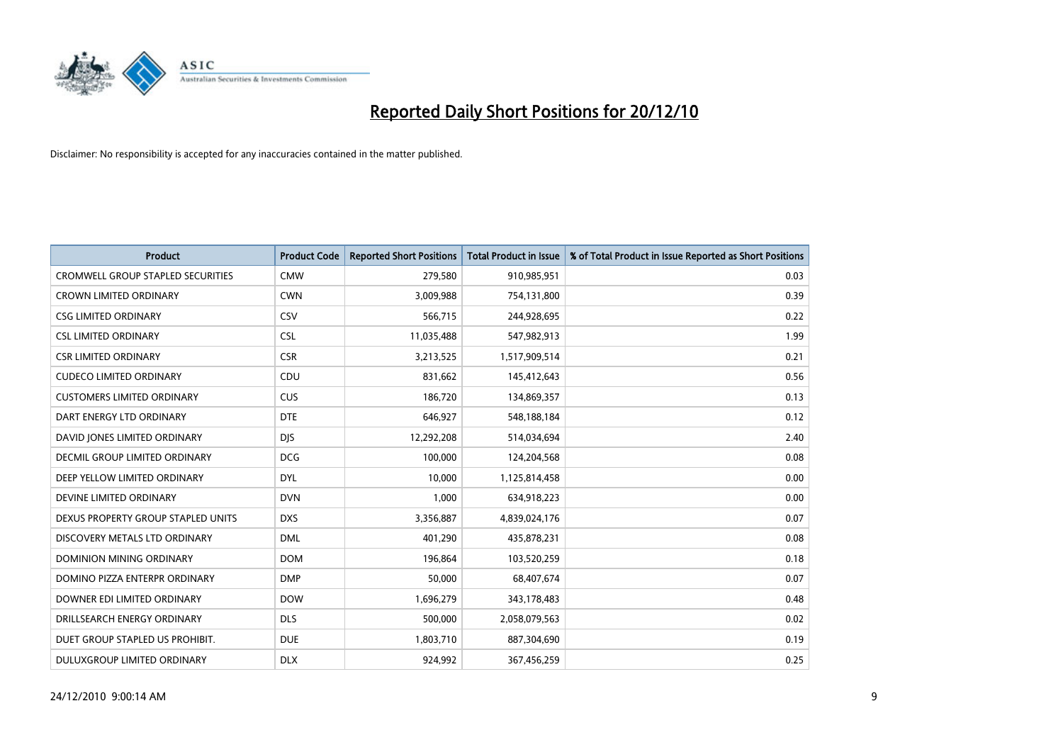

| <b>Product</b>                           | <b>Product Code</b> | <b>Reported Short Positions</b> | <b>Total Product in Issue</b> | % of Total Product in Issue Reported as Short Positions |
|------------------------------------------|---------------------|---------------------------------|-------------------------------|---------------------------------------------------------|
| <b>CROMWELL GROUP STAPLED SECURITIES</b> | <b>CMW</b>          | 279,580                         | 910,985,951                   | 0.03                                                    |
| <b>CROWN LIMITED ORDINARY</b>            | <b>CWN</b>          | 3,009,988                       | 754,131,800                   | 0.39                                                    |
| <b>CSG LIMITED ORDINARY</b>              | CSV                 | 566,715                         | 244,928,695                   | 0.22                                                    |
| <b>CSL LIMITED ORDINARY</b>              | <b>CSL</b>          | 11,035,488                      | 547,982,913                   | 1.99                                                    |
| <b>CSR LIMITED ORDINARY</b>              | <b>CSR</b>          | 3,213,525                       | 1,517,909,514                 | 0.21                                                    |
| <b>CUDECO LIMITED ORDINARY</b>           | CDU                 | 831,662                         | 145,412,643                   | 0.56                                                    |
| <b>CUSTOMERS LIMITED ORDINARY</b>        | <b>CUS</b>          | 186,720                         | 134,869,357                   | 0.13                                                    |
| DART ENERGY LTD ORDINARY                 | <b>DTE</b>          | 646,927                         | 548,188,184                   | 0.12                                                    |
| DAVID JONES LIMITED ORDINARY             | <b>DIS</b>          | 12,292,208                      | 514,034,694                   | 2.40                                                    |
| DECMIL GROUP LIMITED ORDINARY            | <b>DCG</b>          | 100,000                         | 124,204,568                   | 0.08                                                    |
| DEEP YELLOW LIMITED ORDINARY             | <b>DYL</b>          | 10,000                          | 1,125,814,458                 | 0.00                                                    |
| DEVINE LIMITED ORDINARY                  | <b>DVN</b>          | 1,000                           | 634,918,223                   | 0.00                                                    |
| DEXUS PROPERTY GROUP STAPLED UNITS       | <b>DXS</b>          | 3,356,887                       | 4,839,024,176                 | 0.07                                                    |
| DISCOVERY METALS LTD ORDINARY            | <b>DML</b>          | 401,290                         | 435,878,231                   | 0.08                                                    |
| <b>DOMINION MINING ORDINARY</b>          | <b>DOM</b>          | 196,864                         | 103,520,259                   | 0.18                                                    |
| DOMINO PIZZA ENTERPR ORDINARY            | <b>DMP</b>          | 50,000                          | 68,407,674                    | 0.07                                                    |
| DOWNER EDI LIMITED ORDINARY              | <b>DOW</b>          | 1,696,279                       | 343,178,483                   | 0.48                                                    |
| DRILLSEARCH ENERGY ORDINARY              | <b>DLS</b>          | 500,000                         | 2,058,079,563                 | 0.02                                                    |
| DUET GROUP STAPLED US PROHIBIT.          | <b>DUE</b>          | 1,803,710                       | 887,304,690                   | 0.19                                                    |
| DULUXGROUP LIMITED ORDINARY              | <b>DLX</b>          | 924.992                         | 367,456,259                   | 0.25                                                    |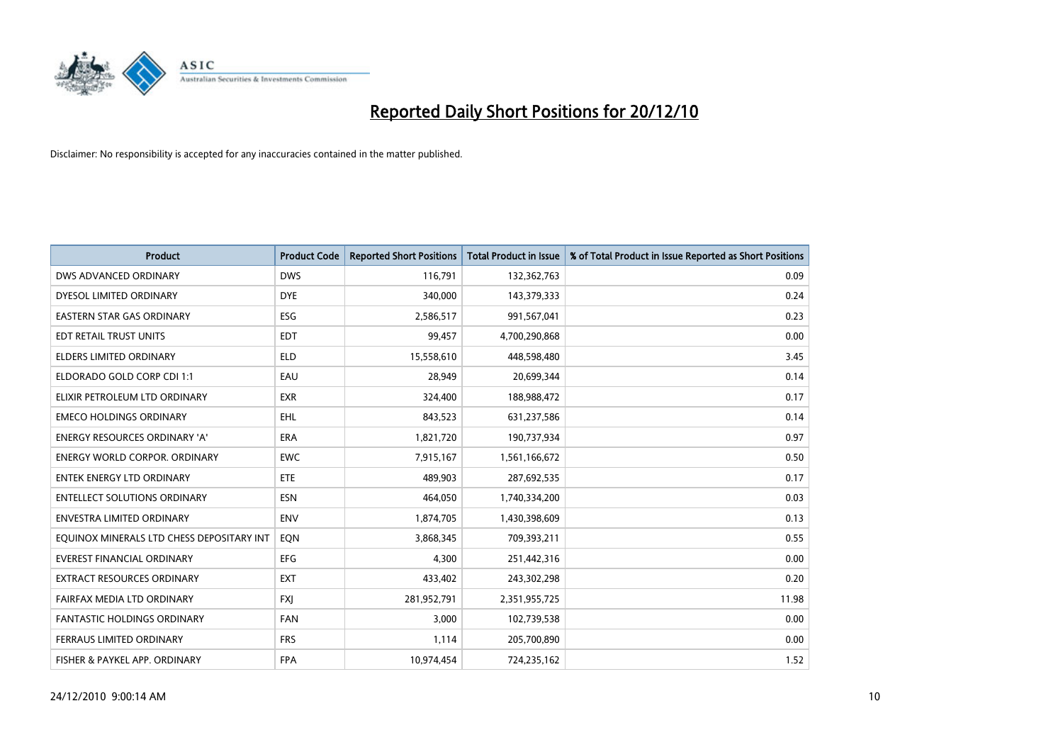

| <b>Product</b>                            | <b>Product Code</b> | <b>Reported Short Positions</b> | <b>Total Product in Issue</b> | % of Total Product in Issue Reported as Short Positions |
|-------------------------------------------|---------------------|---------------------------------|-------------------------------|---------------------------------------------------------|
| DWS ADVANCED ORDINARY                     | <b>DWS</b>          | 116,791                         | 132,362,763                   | 0.09                                                    |
| DYESOL LIMITED ORDINARY                   | <b>DYE</b>          | 340,000                         | 143,379,333                   | 0.24                                                    |
| EASTERN STAR GAS ORDINARY                 | <b>ESG</b>          | 2,586,517                       | 991,567,041                   | 0.23                                                    |
| EDT RETAIL TRUST UNITS                    | <b>EDT</b>          | 99,457                          | 4,700,290,868                 | 0.00                                                    |
| <b>ELDERS LIMITED ORDINARY</b>            | <b>ELD</b>          | 15,558,610                      | 448,598,480                   | 3.45                                                    |
| ELDORADO GOLD CORP CDI 1:1                | EAU                 | 28,949                          | 20,699,344                    | 0.14                                                    |
| ELIXIR PETROLEUM LTD ORDINARY             | <b>EXR</b>          | 324,400                         | 188,988,472                   | 0.17                                                    |
| <b>EMECO HOLDINGS ORDINARY</b>            | <b>EHL</b>          | 843,523                         | 631,237,586                   | 0.14                                                    |
| <b>ENERGY RESOURCES ORDINARY 'A'</b>      | <b>ERA</b>          | 1,821,720                       | 190,737,934                   | 0.97                                                    |
| <b>ENERGY WORLD CORPOR, ORDINARY</b>      | <b>EWC</b>          | 7,915,167                       | 1,561,166,672                 | 0.50                                                    |
| ENTEK ENERGY LTD ORDINARY                 | <b>ETE</b>          | 489,903                         | 287,692,535                   | 0.17                                                    |
| <b>ENTELLECT SOLUTIONS ORDINARY</b>       | <b>ESN</b>          | 464,050                         | 1,740,334,200                 | 0.03                                                    |
| <b>ENVESTRA LIMITED ORDINARY</b>          | <b>ENV</b>          | 1,874,705                       | 1,430,398,609                 | 0.13                                                    |
| EQUINOX MINERALS LTD CHESS DEPOSITARY INT | <b>EON</b>          | 3,868,345                       | 709,393,211                   | 0.55                                                    |
| <b>EVEREST FINANCIAL ORDINARY</b>         | <b>EFG</b>          | 4.300                           | 251,442,316                   | 0.00                                                    |
| EXTRACT RESOURCES ORDINARY                | <b>EXT</b>          | 433,402                         | 243,302,298                   | 0.20                                                    |
| FAIRFAX MEDIA LTD ORDINARY                | <b>FXI</b>          | 281,952,791                     | 2,351,955,725                 | 11.98                                                   |
| <b>FANTASTIC HOLDINGS ORDINARY</b>        | <b>FAN</b>          | 3,000                           | 102,739,538                   | 0.00                                                    |
| FERRAUS LIMITED ORDINARY                  | <b>FRS</b>          | 1,114                           | 205,700,890                   | 0.00                                                    |
| FISHER & PAYKEL APP. ORDINARY             | <b>FPA</b>          | 10,974,454                      | 724,235,162                   | 1.52                                                    |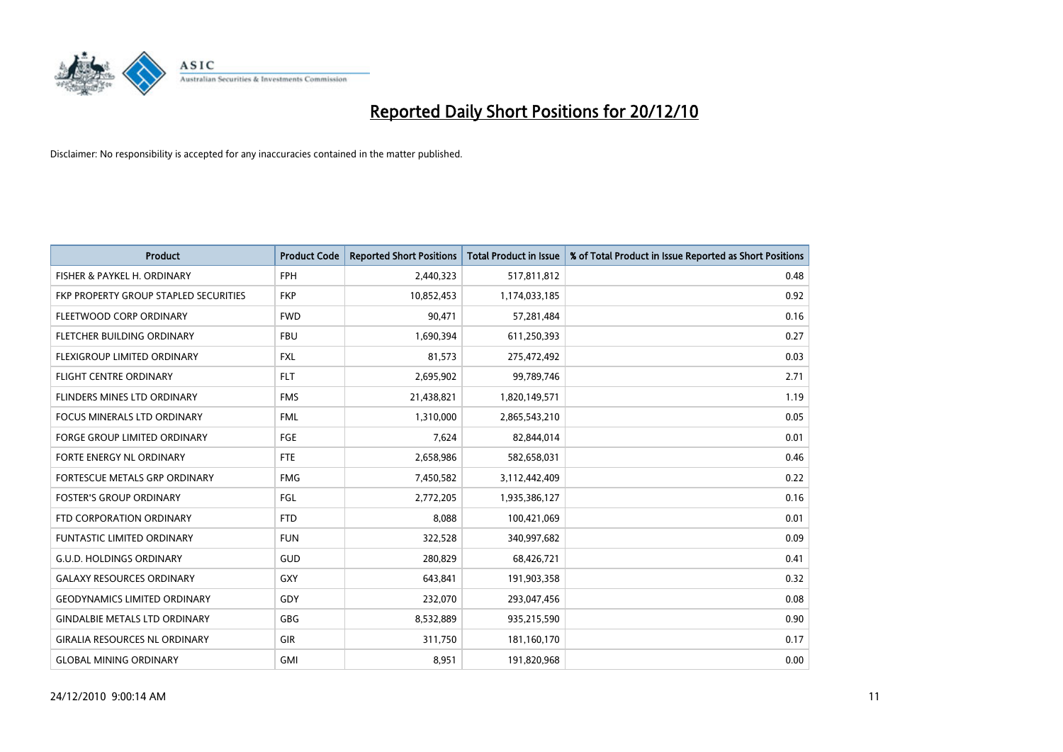

| <b>Product</b>                        | <b>Product Code</b> | <b>Reported Short Positions</b> | Total Product in Issue | % of Total Product in Issue Reported as Short Positions |
|---------------------------------------|---------------------|---------------------------------|------------------------|---------------------------------------------------------|
| FISHER & PAYKEL H. ORDINARY           | <b>FPH</b>          | 2,440,323                       | 517,811,812            | 0.48                                                    |
| FKP PROPERTY GROUP STAPLED SECURITIES | <b>FKP</b>          | 10,852,453                      | 1,174,033,185          | 0.92                                                    |
| FLEETWOOD CORP ORDINARY               | <b>FWD</b>          | 90,471                          | 57,281,484             | 0.16                                                    |
| FLETCHER BUILDING ORDINARY            | <b>FBU</b>          | 1,690,394                       | 611,250,393            | 0.27                                                    |
| FLEXIGROUP LIMITED ORDINARY           | <b>FXL</b>          | 81,573                          | 275,472,492            | 0.03                                                    |
| <b>FLIGHT CENTRE ORDINARY</b>         | <b>FLT</b>          | 2,695,902                       | 99,789,746             | 2.71                                                    |
| <b>FLINDERS MINES LTD ORDINARY</b>    | <b>FMS</b>          | 21,438,821                      | 1,820,149,571          | 1.19                                                    |
| <b>FOCUS MINERALS LTD ORDINARY</b>    | <b>FML</b>          | 1,310,000                       | 2,865,543,210          | 0.05                                                    |
| FORGE GROUP LIMITED ORDINARY          | FGE                 | 7,624                           | 82,844,014             | 0.01                                                    |
| FORTE ENERGY NL ORDINARY              | <b>FTE</b>          | 2,658,986                       | 582,658,031            | 0.46                                                    |
| FORTESCUE METALS GRP ORDINARY         | <b>FMG</b>          | 7,450,582                       | 3,112,442,409          | 0.22                                                    |
| <b>FOSTER'S GROUP ORDINARY</b>        | FGL                 | 2,772,205                       | 1,935,386,127          | 0.16                                                    |
| FTD CORPORATION ORDINARY              | <b>FTD</b>          | 8,088                           | 100,421,069            | 0.01                                                    |
| <b>FUNTASTIC LIMITED ORDINARY</b>     | <b>FUN</b>          | 322,528                         | 340,997,682            | 0.09                                                    |
| <b>G.U.D. HOLDINGS ORDINARY</b>       | <b>GUD</b>          | 280,829                         | 68,426,721             | 0.41                                                    |
| <b>GALAXY RESOURCES ORDINARY</b>      | <b>GXY</b>          | 643,841                         | 191,903,358            | 0.32                                                    |
| <b>GEODYNAMICS LIMITED ORDINARY</b>   | <b>GDY</b>          | 232,070                         | 293,047,456            | 0.08                                                    |
| <b>GINDALBIE METALS LTD ORDINARY</b>  | <b>GBG</b>          | 8,532,889                       | 935,215,590            | 0.90                                                    |
| <b>GIRALIA RESOURCES NL ORDINARY</b>  | <b>GIR</b>          | 311,750                         | 181,160,170            | 0.17                                                    |
| <b>GLOBAL MINING ORDINARY</b>         | <b>GMI</b>          | 8,951                           | 191,820,968            | 0.00                                                    |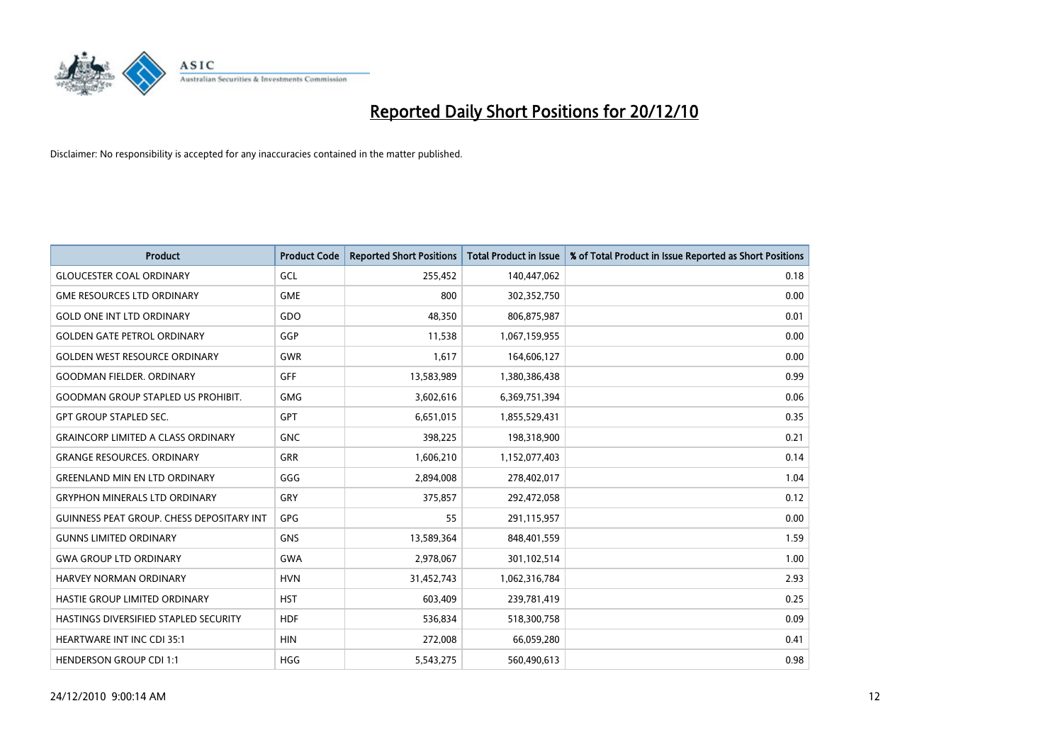

| <b>Product</b>                                   | <b>Product Code</b> | <b>Reported Short Positions</b> | Total Product in Issue | % of Total Product in Issue Reported as Short Positions |
|--------------------------------------------------|---------------------|---------------------------------|------------------------|---------------------------------------------------------|
| <b>GLOUCESTER COAL ORDINARY</b>                  | GCL                 | 255,452                         | 140,447,062            | 0.18                                                    |
| <b>GME RESOURCES LTD ORDINARY</b>                | <b>GME</b>          | 800                             | 302,352,750            | 0.00                                                    |
| <b>GOLD ONE INT LTD ORDINARY</b>                 | GDO                 | 48,350                          | 806,875,987            | 0.01                                                    |
| <b>GOLDEN GATE PETROL ORDINARY</b>               | GGP                 | 11,538                          | 1,067,159,955          | 0.00                                                    |
| <b>GOLDEN WEST RESOURCE ORDINARY</b>             | <b>GWR</b>          | 1,617                           | 164,606,127            | 0.00                                                    |
| <b>GOODMAN FIELDER, ORDINARY</b>                 | <b>GFF</b>          | 13,583,989                      | 1,380,386,438          | 0.99                                                    |
| <b>GOODMAN GROUP STAPLED US PROHIBIT.</b>        | <b>GMG</b>          | 3,602,616                       | 6,369,751,394          | 0.06                                                    |
| <b>GPT GROUP STAPLED SEC.</b>                    | <b>GPT</b>          | 6,651,015                       | 1,855,529,431          | 0.35                                                    |
| <b>GRAINCORP LIMITED A CLASS ORDINARY</b>        | <b>GNC</b>          | 398,225                         | 198,318,900            | 0.21                                                    |
| <b>GRANGE RESOURCES, ORDINARY</b>                | <b>GRR</b>          | 1,606,210                       | 1,152,077,403          | 0.14                                                    |
| <b>GREENLAND MIN EN LTD ORDINARY</b>             | GGG                 | 2,894,008                       | 278,402,017            | 1.04                                                    |
| <b>GRYPHON MINERALS LTD ORDINARY</b>             | GRY                 | 375,857                         | 292,472,058            | 0.12                                                    |
| <b>GUINNESS PEAT GROUP. CHESS DEPOSITARY INT</b> | GPG                 | 55                              | 291,115,957            | 0.00                                                    |
| <b>GUNNS LIMITED ORDINARY</b>                    | <b>GNS</b>          | 13,589,364                      | 848,401,559            | 1.59                                                    |
| <b>GWA GROUP LTD ORDINARY</b>                    | <b>GWA</b>          | 2,978,067                       | 301,102,514            | 1.00                                                    |
| HARVEY NORMAN ORDINARY                           | <b>HVN</b>          | 31,452,743                      | 1,062,316,784          | 2.93                                                    |
| HASTIE GROUP LIMITED ORDINARY                    | <b>HST</b>          | 603,409                         | 239,781,419            | 0.25                                                    |
| HASTINGS DIVERSIFIED STAPLED SECURITY            | <b>HDF</b>          | 536,834                         | 518,300,758            | 0.09                                                    |
| <b>HEARTWARE INT INC CDI 35:1</b>                | <b>HIN</b>          | 272,008                         | 66,059,280             | 0.41                                                    |
| <b>HENDERSON GROUP CDI 1:1</b>                   | <b>HGG</b>          | 5,543,275                       | 560,490,613            | 0.98                                                    |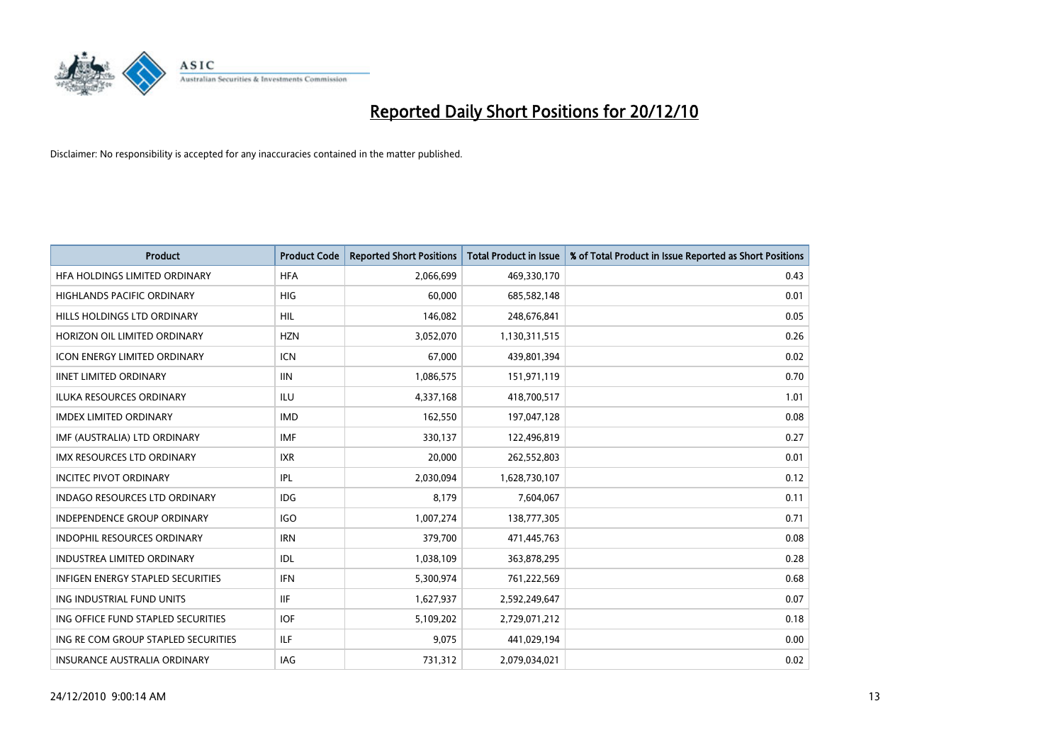

| <b>Product</b>                           | <b>Product Code</b> | <b>Reported Short Positions</b> | <b>Total Product in Issue</b> | % of Total Product in Issue Reported as Short Positions |
|------------------------------------------|---------------------|---------------------------------|-------------------------------|---------------------------------------------------------|
| HFA HOLDINGS LIMITED ORDINARY            | <b>HFA</b>          | 2,066,699                       | 469,330,170                   | 0.43                                                    |
| HIGHLANDS PACIFIC ORDINARY               | HIG                 | 60,000                          | 685,582,148                   | 0.01                                                    |
| HILLS HOLDINGS LTD ORDINARY              | <b>HIL</b>          | 146,082                         | 248,676,841                   | 0.05                                                    |
| HORIZON OIL LIMITED ORDINARY             | <b>HZN</b>          | 3,052,070                       | 1,130,311,515                 | 0.26                                                    |
| <b>ICON ENERGY LIMITED ORDINARY</b>      | <b>ICN</b>          | 67,000                          | 439,801,394                   | 0.02                                                    |
| <b>IINET LIMITED ORDINARY</b>            | <b>IIN</b>          | 1,086,575                       | 151,971,119                   | 0.70                                                    |
| <b>ILUKA RESOURCES ORDINARY</b>          | ILU                 | 4,337,168                       | 418,700,517                   | 1.01                                                    |
| <b>IMDEX LIMITED ORDINARY</b>            | <b>IMD</b>          | 162,550                         | 197,047,128                   | 0.08                                                    |
| IMF (AUSTRALIA) LTD ORDINARY             | <b>IMF</b>          | 330,137                         | 122,496,819                   | 0.27                                                    |
| <b>IMX RESOURCES LTD ORDINARY</b>        | <b>IXR</b>          | 20,000                          | 262,552,803                   | 0.01                                                    |
| <b>INCITEC PIVOT ORDINARY</b>            | <b>IPL</b>          | 2,030,094                       | 1,628,730,107                 | 0.12                                                    |
| <b>INDAGO RESOURCES LTD ORDINARY</b>     | <b>IDG</b>          | 8,179                           | 7,604,067                     | 0.11                                                    |
| INDEPENDENCE GROUP ORDINARY              | <b>IGO</b>          | 1,007,274                       | 138,777,305                   | 0.71                                                    |
| <b>INDOPHIL RESOURCES ORDINARY</b>       | <b>IRN</b>          | 379,700                         | 471,445,763                   | 0.08                                                    |
| <b>INDUSTREA LIMITED ORDINARY</b>        | IDL                 | 1,038,109                       | 363,878,295                   | 0.28                                                    |
| <b>INFIGEN ENERGY STAPLED SECURITIES</b> | <b>IFN</b>          | 5,300,974                       | 761,222,569                   | 0.68                                                    |
| ING INDUSTRIAL FUND UNITS                | <b>IIF</b>          | 1,627,937                       | 2,592,249,647                 | 0.07                                                    |
| ING OFFICE FUND STAPLED SECURITIES       | <b>IOF</b>          | 5,109,202                       | 2,729,071,212                 | 0.18                                                    |
| ING RE COM GROUP STAPLED SECURITIES      | ILF                 | 9,075                           | 441,029,194                   | 0.00                                                    |
| INSURANCE AUSTRALIA ORDINARY             | IAG                 | 731,312                         | 2,079,034,021                 | 0.02                                                    |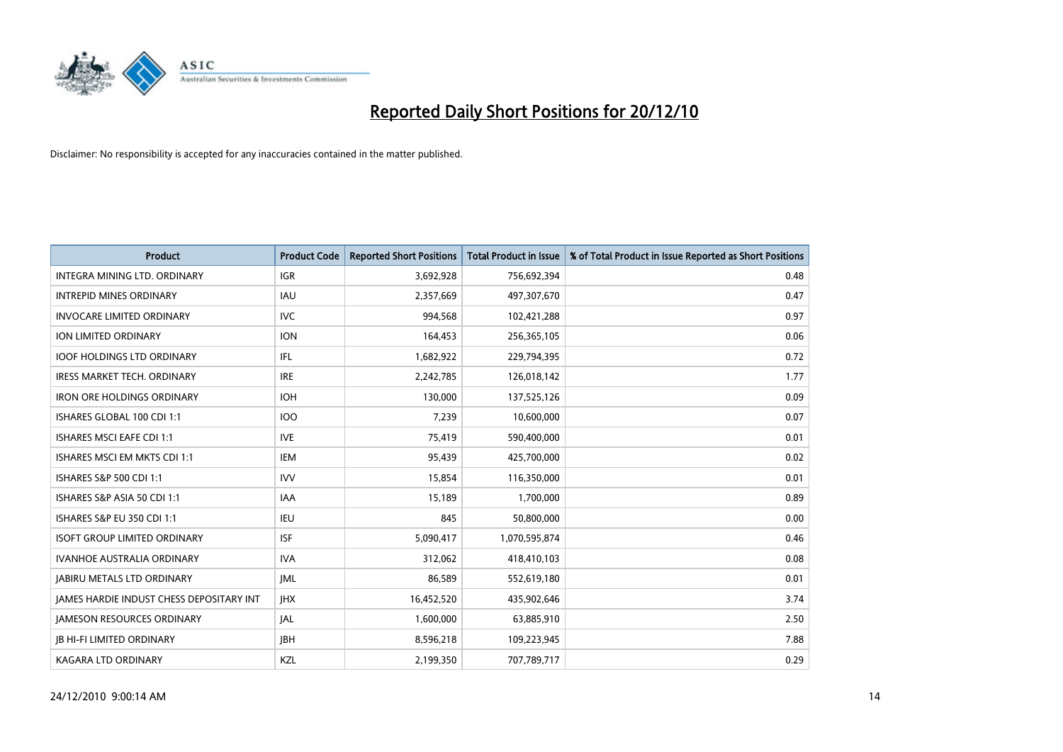

| <b>Product</b>                                  | <b>Product Code</b> | <b>Reported Short Positions</b> | Total Product in Issue | % of Total Product in Issue Reported as Short Positions |
|-------------------------------------------------|---------------------|---------------------------------|------------------------|---------------------------------------------------------|
| INTEGRA MINING LTD, ORDINARY                    | <b>IGR</b>          | 3,692,928                       | 756,692,394            | 0.48                                                    |
| <b>INTREPID MINES ORDINARY</b>                  | <b>IAU</b>          | 2,357,669                       | 497,307,670            | 0.47                                                    |
| <b>INVOCARE LIMITED ORDINARY</b>                | <b>IVC</b>          | 994,568                         | 102,421,288            | 0.97                                                    |
| ION LIMITED ORDINARY                            | <b>ION</b>          | 164,453                         | 256,365,105            | 0.06                                                    |
| <b>IOOF HOLDINGS LTD ORDINARY</b>               | IFL.                | 1,682,922                       | 229,794,395            | 0.72                                                    |
| IRESS MARKET TECH. ORDINARY                     | <b>IRE</b>          | 2,242,785                       | 126,018,142            | 1.77                                                    |
| <b>IRON ORE HOLDINGS ORDINARY</b>               | <b>IOH</b>          | 130,000                         | 137,525,126            | 0.09                                                    |
| ISHARES GLOBAL 100 CDI 1:1                      | 100                 | 7,239                           | 10,600,000             | 0.07                                                    |
| ISHARES MSCI EAFE CDI 1:1                       | <b>IVE</b>          | 75,419                          | 590,400,000            | 0.01                                                    |
| ISHARES MSCI EM MKTS CDI 1:1                    | IEM                 | 95,439                          | 425,700,000            | 0.02                                                    |
| ISHARES S&P 500 CDI 1:1                         | <b>IVV</b>          | 15,854                          | 116,350,000            | 0.01                                                    |
| ISHARES S&P ASIA 50 CDI 1:1                     | <b>IAA</b>          | 15,189                          | 1,700,000              | 0.89                                                    |
| <b>ISHARES S&amp;P EU 350 CDI 1:1</b>           | <b>IEU</b>          | 845                             | 50,800,000             | 0.00                                                    |
| <b>ISOFT GROUP LIMITED ORDINARY</b>             | <b>ISF</b>          | 5,090,417                       | 1,070,595,874          | 0.46                                                    |
| <b>IVANHOE AUSTRALIA ORDINARY</b>               | <b>IVA</b>          | 312,062                         | 418,410,103            | 0.08                                                    |
| <b>JABIRU METALS LTD ORDINARY</b>               | <b>JML</b>          | 86,589                          | 552,619,180            | 0.01                                                    |
| <b>JAMES HARDIE INDUST CHESS DEPOSITARY INT</b> | <b>IHX</b>          | 16,452,520                      | 435,902,646            | 3.74                                                    |
| JAMESON RESOURCES ORDINARY                      | <b>JAL</b>          | 1,600,000                       | 63,885,910             | 2.50                                                    |
| <b>IB HI-FI LIMITED ORDINARY</b>                | <b>IBH</b>          | 8,596,218                       | 109,223,945            | 7.88                                                    |
| <b>KAGARA LTD ORDINARY</b>                      | KZL                 | 2,199,350                       | 707,789,717            | 0.29                                                    |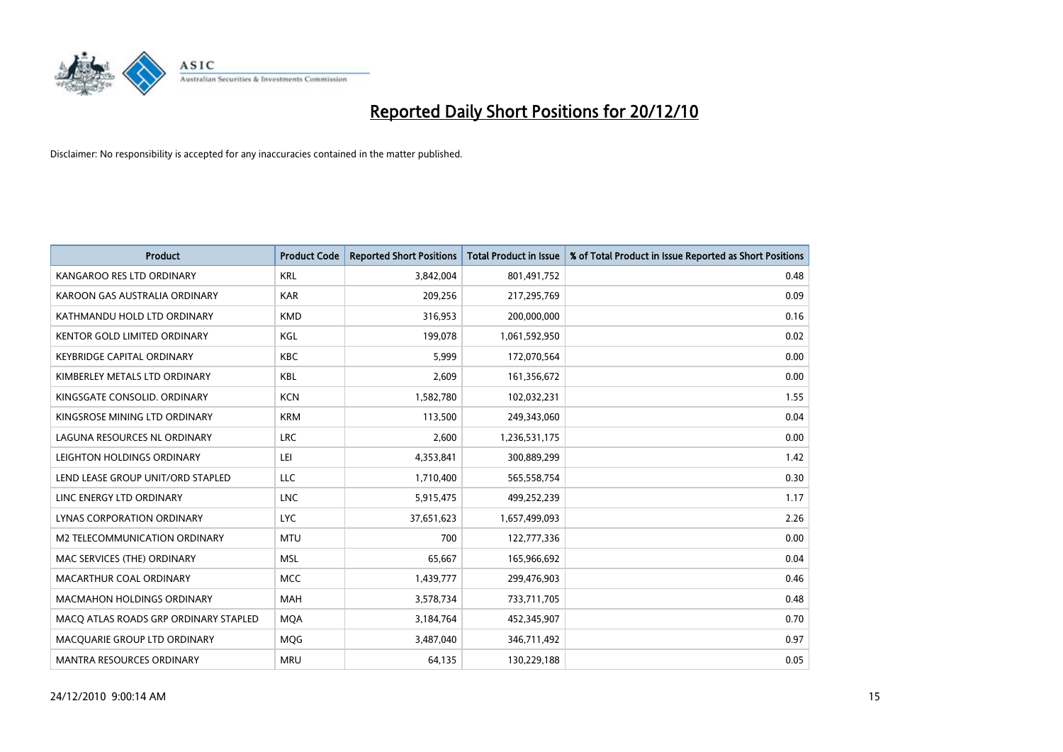

| <b>Product</b>                        | <b>Product Code</b> | <b>Reported Short Positions</b> | <b>Total Product in Issue</b> | % of Total Product in Issue Reported as Short Positions |
|---------------------------------------|---------------------|---------------------------------|-------------------------------|---------------------------------------------------------|
| KANGAROO RES LTD ORDINARY             | <b>KRL</b>          | 3,842,004                       | 801,491,752                   | 0.48                                                    |
| KAROON GAS AUSTRALIA ORDINARY         | <b>KAR</b>          | 209,256                         | 217,295,769                   | 0.09                                                    |
| KATHMANDU HOLD LTD ORDINARY           | <b>KMD</b>          | 316,953                         | 200,000,000                   | 0.16                                                    |
| KENTOR GOLD LIMITED ORDINARY          | KGL                 | 199,078                         | 1,061,592,950                 | 0.02                                                    |
| <b>KEYBRIDGE CAPITAL ORDINARY</b>     | <b>KBC</b>          | 5,999                           | 172,070,564                   | 0.00                                                    |
| KIMBERLEY METALS LTD ORDINARY         | KBL                 | 2,609                           | 161,356,672                   | 0.00                                                    |
| KINGSGATE CONSOLID, ORDINARY          | <b>KCN</b>          | 1,582,780                       | 102,032,231                   | 1.55                                                    |
| KINGSROSE MINING LTD ORDINARY         | <b>KRM</b>          | 113,500                         | 249,343,060                   | 0.04                                                    |
| LAGUNA RESOURCES NL ORDINARY          | <b>LRC</b>          | 2,600                           | 1,236,531,175                 | 0.00                                                    |
| LEIGHTON HOLDINGS ORDINARY            | LEI                 | 4,353,841                       | 300,889,299                   | 1.42                                                    |
| LEND LEASE GROUP UNIT/ORD STAPLED     | LLC                 | 1,710,400                       | 565,558,754                   | 0.30                                                    |
| LINC ENERGY LTD ORDINARY              | <b>LNC</b>          | 5,915,475                       | 499,252,239                   | 1.17                                                    |
| LYNAS CORPORATION ORDINARY            | <b>LYC</b>          | 37,651,623                      | 1,657,499,093                 | 2.26                                                    |
| M2 TELECOMMUNICATION ORDINARY         | <b>MTU</b>          | 700                             | 122,777,336                   | 0.00                                                    |
| MAC SERVICES (THE) ORDINARY           | <b>MSL</b>          | 65,667                          | 165,966,692                   | 0.04                                                    |
| MACARTHUR COAL ORDINARY               | <b>MCC</b>          | 1,439,777                       | 299,476,903                   | 0.46                                                    |
| <b>MACMAHON HOLDINGS ORDINARY</b>     | <b>MAH</b>          | 3,578,734                       | 733,711,705                   | 0.48                                                    |
| MACO ATLAS ROADS GRP ORDINARY STAPLED | <b>MOA</b>          | 3,184,764                       | 452,345,907                   | 0.70                                                    |
| MACOUARIE GROUP LTD ORDINARY          | <b>MOG</b>          | 3,487,040                       | 346,711,492                   | 0.97                                                    |
| <b>MANTRA RESOURCES ORDINARY</b>      | <b>MRU</b>          | 64,135                          | 130,229,188                   | 0.05                                                    |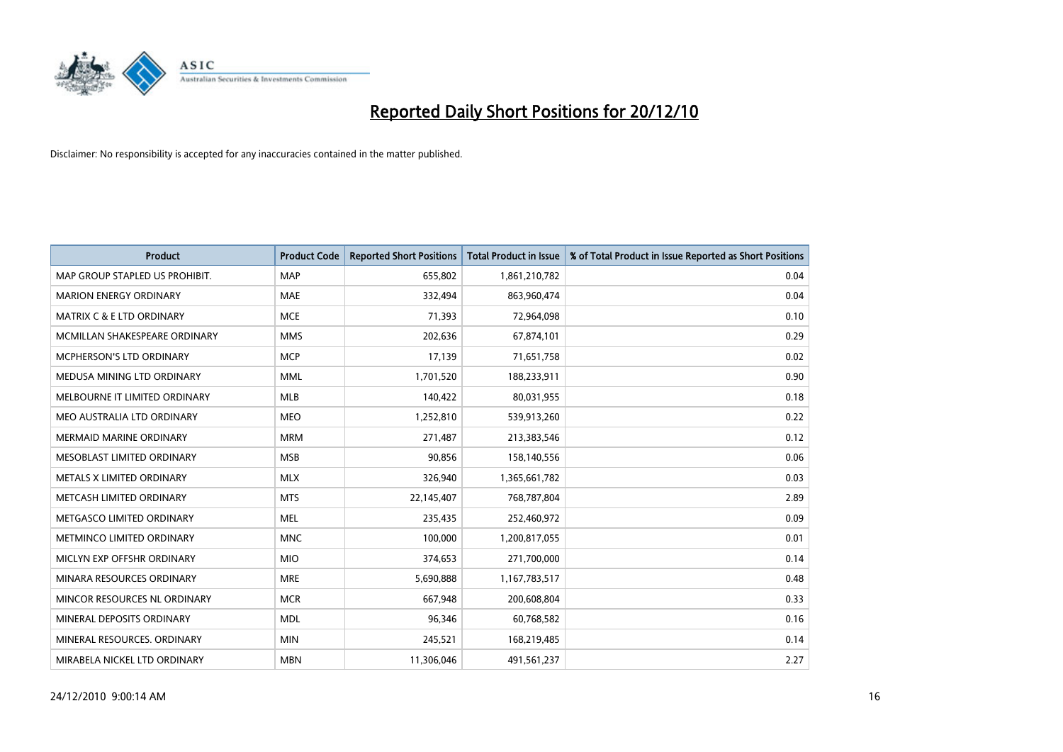

| <b>Product</b>                       | <b>Product Code</b> | <b>Reported Short Positions</b> | <b>Total Product in Issue</b> | % of Total Product in Issue Reported as Short Positions |
|--------------------------------------|---------------------|---------------------------------|-------------------------------|---------------------------------------------------------|
| MAP GROUP STAPLED US PROHIBIT.       | <b>MAP</b>          | 655,802                         | 1,861,210,782                 | 0.04                                                    |
| <b>MARION ENERGY ORDINARY</b>        | <b>MAE</b>          | 332,494                         | 863,960,474                   | 0.04                                                    |
| <b>MATRIX C &amp; E LTD ORDINARY</b> | <b>MCE</b>          | 71.393                          | 72,964,098                    | 0.10                                                    |
| MCMILLAN SHAKESPEARE ORDINARY        | <b>MMS</b>          | 202,636                         | 67,874,101                    | 0.29                                                    |
| <b>MCPHERSON'S LTD ORDINARY</b>      | <b>MCP</b>          | 17,139                          | 71,651,758                    | 0.02                                                    |
| MEDUSA MINING LTD ORDINARY           | <b>MML</b>          | 1,701,520                       | 188,233,911                   | 0.90                                                    |
| MELBOURNE IT LIMITED ORDINARY        | <b>MLB</b>          | 140,422                         | 80,031,955                    | 0.18                                                    |
| MEO AUSTRALIA LTD ORDINARY           | <b>MEO</b>          | 1,252,810                       | 539,913,260                   | 0.22                                                    |
| <b>MERMAID MARINE ORDINARY</b>       | <b>MRM</b>          | 271.487                         | 213,383,546                   | 0.12                                                    |
| MESOBLAST LIMITED ORDINARY           | <b>MSB</b>          | 90,856                          | 158,140,556                   | 0.06                                                    |
| METALS X LIMITED ORDINARY            | <b>MLX</b>          | 326,940                         | 1,365,661,782                 | 0.03                                                    |
| METCASH LIMITED ORDINARY             | <b>MTS</b>          | 22,145,407                      | 768,787,804                   | 2.89                                                    |
| METGASCO LIMITED ORDINARY            | <b>MEL</b>          | 235,435                         | 252,460,972                   | 0.09                                                    |
| METMINCO LIMITED ORDINARY            | <b>MNC</b>          | 100,000                         | 1,200,817,055                 | 0.01                                                    |
| MICLYN EXP OFFSHR ORDINARY           | <b>MIO</b>          | 374,653                         | 271,700,000                   | 0.14                                                    |
| MINARA RESOURCES ORDINARY            | <b>MRE</b>          | 5,690,888                       | 1,167,783,517                 | 0.48                                                    |
| MINCOR RESOURCES NL ORDINARY         | <b>MCR</b>          | 667,948                         | 200,608,804                   | 0.33                                                    |
| MINERAL DEPOSITS ORDINARY            | <b>MDL</b>          | 96,346                          | 60,768,582                    | 0.16                                                    |
| MINERAL RESOURCES, ORDINARY          | <b>MIN</b>          | 245,521                         | 168,219,485                   | 0.14                                                    |
| MIRABELA NICKEL LTD ORDINARY         | <b>MBN</b>          | 11,306,046                      | 491,561,237                   | 2.27                                                    |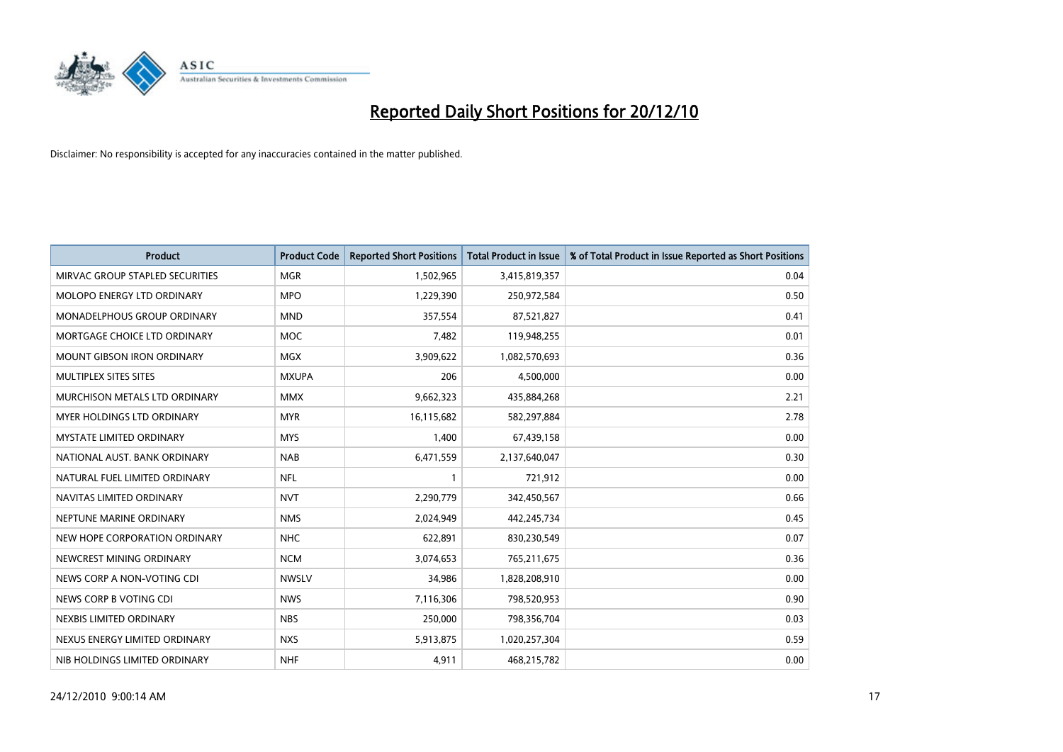

| <b>Product</b>                     | <b>Product Code</b> | <b>Reported Short Positions</b> | Total Product in Issue | % of Total Product in Issue Reported as Short Positions |
|------------------------------------|---------------------|---------------------------------|------------------------|---------------------------------------------------------|
| MIRVAC GROUP STAPLED SECURITIES    | <b>MGR</b>          | 1,502,965                       | 3,415,819,357          | 0.04                                                    |
| MOLOPO ENERGY LTD ORDINARY         | <b>MPO</b>          | 1,229,390                       | 250,972,584            | 0.50                                                    |
| <b>MONADELPHOUS GROUP ORDINARY</b> | <b>MND</b>          | 357,554                         | 87,521,827             | 0.41                                                    |
| MORTGAGE CHOICE LTD ORDINARY       | <b>MOC</b>          | 7,482                           | 119,948,255            | 0.01                                                    |
| <b>MOUNT GIBSON IRON ORDINARY</b>  | <b>MGX</b>          | 3,909,622                       | 1,082,570,693          | 0.36                                                    |
| MULTIPLEX SITES SITES              | <b>MXUPA</b>        | 206                             | 4,500,000              | 0.00                                                    |
| MURCHISON METALS LTD ORDINARY      | <b>MMX</b>          | 9,662,323                       | 435,884,268            | 2.21                                                    |
| <b>MYER HOLDINGS LTD ORDINARY</b>  | <b>MYR</b>          | 16,115,682                      | 582,297,884            | 2.78                                                    |
| <b>MYSTATE LIMITED ORDINARY</b>    | <b>MYS</b>          | 1,400                           | 67,439,158             | 0.00                                                    |
| NATIONAL AUST, BANK ORDINARY       | <b>NAB</b>          | 6,471,559                       | 2,137,640,047          | 0.30                                                    |
| NATURAL FUEL LIMITED ORDINARY      | <b>NFL</b>          |                                 | 721,912                | 0.00                                                    |
| NAVITAS LIMITED ORDINARY           | <b>NVT</b>          | 2,290,779                       | 342,450,567            | 0.66                                                    |
| NEPTUNE MARINE ORDINARY            | <b>NMS</b>          | 2.024.949                       | 442,245,734            | 0.45                                                    |
| NEW HOPE CORPORATION ORDINARY      | <b>NHC</b>          | 622.891                         | 830,230,549            | 0.07                                                    |
| NEWCREST MINING ORDINARY           | <b>NCM</b>          | 3,074,653                       | 765,211,675            | 0.36                                                    |
| NEWS CORP A NON-VOTING CDI         | <b>NWSLV</b>        | 34,986                          | 1,828,208,910          | 0.00                                                    |
| NEWS CORP B VOTING CDI             | <b>NWS</b>          | 7,116,306                       | 798,520,953            | 0.90                                                    |
| NEXBIS LIMITED ORDINARY            | <b>NBS</b>          | 250,000                         | 798,356,704            | 0.03                                                    |
| NEXUS ENERGY LIMITED ORDINARY      | <b>NXS</b>          | 5,913,875                       | 1,020,257,304          | 0.59                                                    |
| NIB HOLDINGS LIMITED ORDINARY      | <b>NHF</b>          | 4.911                           | 468,215,782            | 0.00                                                    |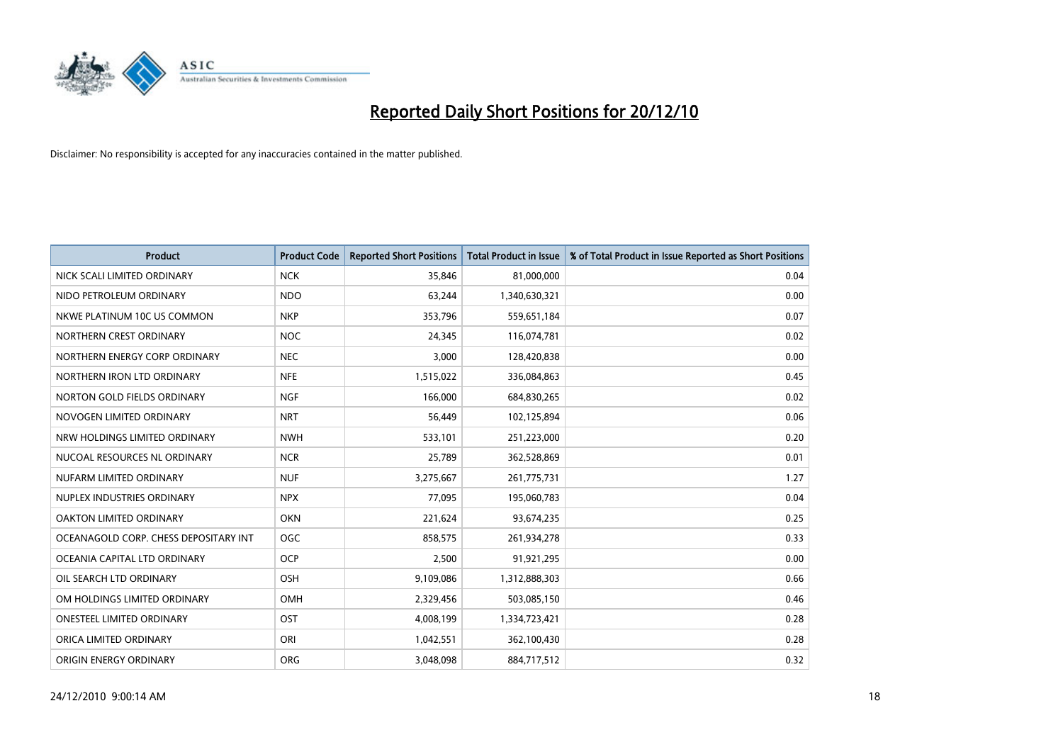

| <b>Product</b>                        | <b>Product Code</b> | <b>Reported Short Positions</b> | Total Product in Issue | % of Total Product in Issue Reported as Short Positions |
|---------------------------------------|---------------------|---------------------------------|------------------------|---------------------------------------------------------|
| NICK SCALI LIMITED ORDINARY           | <b>NCK</b>          | 35,846                          | 81,000,000             | 0.04                                                    |
| NIDO PETROLEUM ORDINARY               | <b>NDO</b>          | 63,244                          | 1,340,630,321          | 0.00                                                    |
| NKWE PLATINUM 10C US COMMON           | <b>NKP</b>          | 353,796                         | 559,651,184            | 0.07                                                    |
| NORTHERN CREST ORDINARY               | <b>NOC</b>          | 24,345                          | 116,074,781            | 0.02                                                    |
| NORTHERN ENERGY CORP ORDINARY         | <b>NEC</b>          | 3,000                           | 128,420,838            | 0.00                                                    |
| NORTHERN IRON LTD ORDINARY            | <b>NFE</b>          | 1,515,022                       | 336,084,863            | 0.45                                                    |
| NORTON GOLD FIELDS ORDINARY           | <b>NGF</b>          | 166,000                         | 684,830,265            | 0.02                                                    |
| NOVOGEN LIMITED ORDINARY              | <b>NRT</b>          | 56,449                          | 102,125,894            | 0.06                                                    |
| NRW HOLDINGS LIMITED ORDINARY         | <b>NWH</b>          | 533,101                         | 251,223,000            | 0.20                                                    |
| NUCOAL RESOURCES NL ORDINARY          | <b>NCR</b>          | 25,789                          | 362,528,869            | 0.01                                                    |
| NUFARM LIMITED ORDINARY               | <b>NUF</b>          | 3,275,667                       | 261,775,731            | 1.27                                                    |
| NUPLEX INDUSTRIES ORDINARY            | <b>NPX</b>          | 77,095                          | 195,060,783            | 0.04                                                    |
| OAKTON LIMITED ORDINARY               | <b>OKN</b>          | 221,624                         | 93,674,235             | 0.25                                                    |
| OCEANAGOLD CORP. CHESS DEPOSITARY INT | <b>OGC</b>          | 858,575                         | 261,934,278            | 0.33                                                    |
| OCEANIA CAPITAL LTD ORDINARY          | <b>OCP</b>          | 2,500                           | 91,921,295             | 0.00                                                    |
| OIL SEARCH LTD ORDINARY               | OSH                 | 9,109,086                       | 1,312,888,303          | 0.66                                                    |
| OM HOLDINGS LIMITED ORDINARY          | OMH                 | 2,329,456                       | 503,085,150            | 0.46                                                    |
| ONESTEEL LIMITED ORDINARY             | OST                 | 4,008,199                       | 1,334,723,421          | 0.28                                                    |
| ORICA LIMITED ORDINARY                | ORI                 | 1,042,551                       | 362,100,430            | 0.28                                                    |
| ORIGIN ENERGY ORDINARY                | ORG                 | 3,048,098                       | 884,717,512            | 0.32                                                    |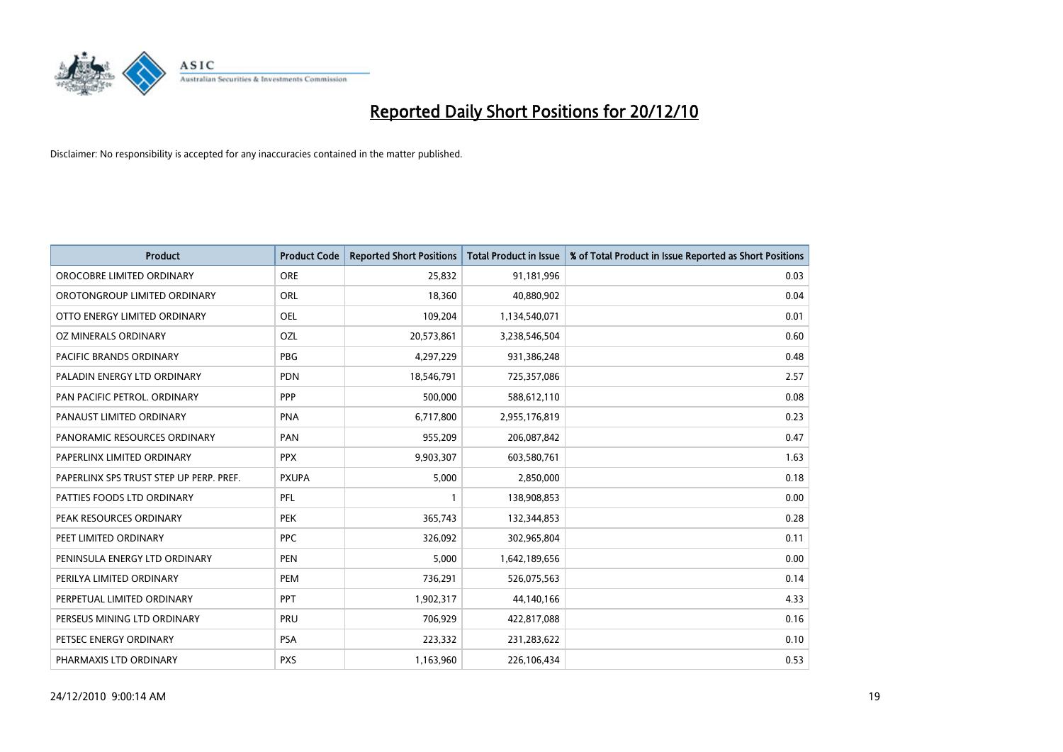

| <b>Product</b>                          | <b>Product Code</b> | <b>Reported Short Positions</b> | Total Product in Issue | % of Total Product in Issue Reported as Short Positions |
|-----------------------------------------|---------------------|---------------------------------|------------------------|---------------------------------------------------------|
| OROCOBRE LIMITED ORDINARY               | ORE                 | 25,832                          | 91,181,996             | 0.03                                                    |
| OROTONGROUP LIMITED ORDINARY            | ORL                 | 18,360                          | 40,880,902             | 0.04                                                    |
| OTTO ENERGY LIMITED ORDINARY            | <b>OEL</b>          | 109,204                         | 1,134,540,071          | 0.01                                                    |
| OZ MINERALS ORDINARY                    | OZL                 | 20,573,861                      | 3,238,546,504          | 0.60                                                    |
| <b>PACIFIC BRANDS ORDINARY</b>          | <b>PBG</b>          | 4,297,229                       | 931,386,248            | 0.48                                                    |
| PALADIN ENERGY LTD ORDINARY             | <b>PDN</b>          | 18,546,791                      | 725,357,086            | 2.57                                                    |
| PAN PACIFIC PETROL, ORDINARY            | PPP                 | 500,000                         | 588,612,110            | 0.08                                                    |
| PANAUST LIMITED ORDINARY                | <b>PNA</b>          | 6,717,800                       | 2,955,176,819          | 0.23                                                    |
| PANORAMIC RESOURCES ORDINARY            | PAN                 | 955,209                         | 206,087,842            | 0.47                                                    |
| PAPERLINX LIMITED ORDINARY              | <b>PPX</b>          | 9,903,307                       | 603,580,761            | 1.63                                                    |
| PAPERLINX SPS TRUST STEP UP PERP. PREF. | <b>PXUPA</b>        | 5,000                           | 2,850,000              | 0.18                                                    |
| PATTIES FOODS LTD ORDINARY              | PFL                 |                                 | 138,908,853            | 0.00                                                    |
| PEAK RESOURCES ORDINARY                 | <b>PEK</b>          | 365,743                         | 132,344,853            | 0.28                                                    |
| PEET LIMITED ORDINARY                   | <b>PPC</b>          | 326,092                         | 302,965,804            | 0.11                                                    |
| PENINSULA ENERGY LTD ORDINARY           | <b>PEN</b>          | 5,000                           | 1,642,189,656          | 0.00                                                    |
| PERILYA LIMITED ORDINARY                | PEM                 | 736,291                         | 526,075,563            | 0.14                                                    |
| PERPETUAL LIMITED ORDINARY              | PPT                 | 1,902,317                       | 44,140,166             | 4.33                                                    |
| PERSEUS MINING LTD ORDINARY             | PRU                 | 706,929                         | 422,817,088            | 0.16                                                    |
| PETSEC ENERGY ORDINARY                  | <b>PSA</b>          | 223,332                         | 231,283,622            | 0.10                                                    |
| PHARMAXIS LTD ORDINARY                  | <b>PXS</b>          | 1,163,960                       | 226,106,434            | 0.53                                                    |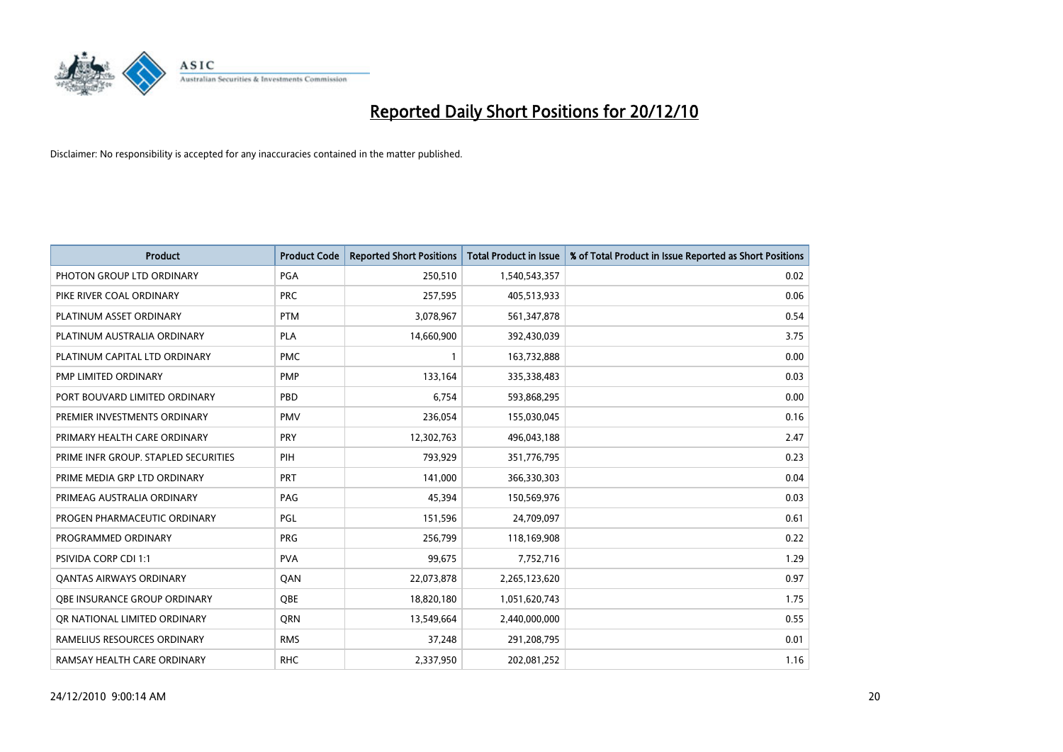

| <b>Product</b>                       | <b>Product Code</b> | <b>Reported Short Positions</b> | <b>Total Product in Issue</b> | % of Total Product in Issue Reported as Short Positions |
|--------------------------------------|---------------------|---------------------------------|-------------------------------|---------------------------------------------------------|
| PHOTON GROUP LTD ORDINARY            | PGA                 | 250,510                         | 1,540,543,357                 | 0.02                                                    |
| PIKE RIVER COAL ORDINARY             | <b>PRC</b>          | 257,595                         | 405,513,933                   | 0.06                                                    |
| PLATINUM ASSET ORDINARY              | <b>PTM</b>          | 3,078,967                       | 561,347,878                   | 0.54                                                    |
| PLATINUM AUSTRALIA ORDINARY          | <b>PLA</b>          | 14,660,900                      | 392,430,039                   | 3.75                                                    |
| PLATINUM CAPITAL LTD ORDINARY        | <b>PMC</b>          |                                 | 163,732,888                   | 0.00                                                    |
| PMP LIMITED ORDINARY                 | <b>PMP</b>          | 133,164                         | 335,338,483                   | 0.03                                                    |
| PORT BOUVARD LIMITED ORDINARY        | PBD                 | 6,754                           | 593,868,295                   | 0.00                                                    |
| PREMIER INVESTMENTS ORDINARY         | <b>PMV</b>          | 236,054                         | 155,030,045                   | 0.16                                                    |
| PRIMARY HEALTH CARE ORDINARY         | <b>PRY</b>          | 12,302,763                      | 496,043,188                   | 2.47                                                    |
| PRIME INFR GROUP. STAPLED SECURITIES | PIH                 | 793,929                         | 351,776,795                   | 0.23                                                    |
| PRIME MEDIA GRP LTD ORDINARY         | <b>PRT</b>          | 141,000                         | 366,330,303                   | 0.04                                                    |
| PRIMEAG AUSTRALIA ORDINARY           | PAG                 | 45,394                          | 150,569,976                   | 0.03                                                    |
| PROGEN PHARMACEUTIC ORDINARY         | PGL                 | 151,596                         | 24,709,097                    | 0.61                                                    |
| PROGRAMMED ORDINARY                  | <b>PRG</b>          | 256,799                         | 118,169,908                   | 0.22                                                    |
| <b>PSIVIDA CORP CDI 1:1</b>          | <b>PVA</b>          | 99,675                          | 7,752,716                     | 1.29                                                    |
| <b>QANTAS AIRWAYS ORDINARY</b>       | QAN                 | 22,073,878                      | 2,265,123,620                 | 0.97                                                    |
| OBE INSURANCE GROUP ORDINARY         | OBE                 | 18,820,180                      | 1,051,620,743                 | 1.75                                                    |
| OR NATIONAL LIMITED ORDINARY         | <b>ORN</b>          | 13,549,664                      | 2,440,000,000                 | 0.55                                                    |
| RAMELIUS RESOURCES ORDINARY          | <b>RMS</b>          | 37,248                          | 291,208,795                   | 0.01                                                    |
| RAMSAY HEALTH CARE ORDINARY          | <b>RHC</b>          | 2,337,950                       | 202,081,252                   | 1.16                                                    |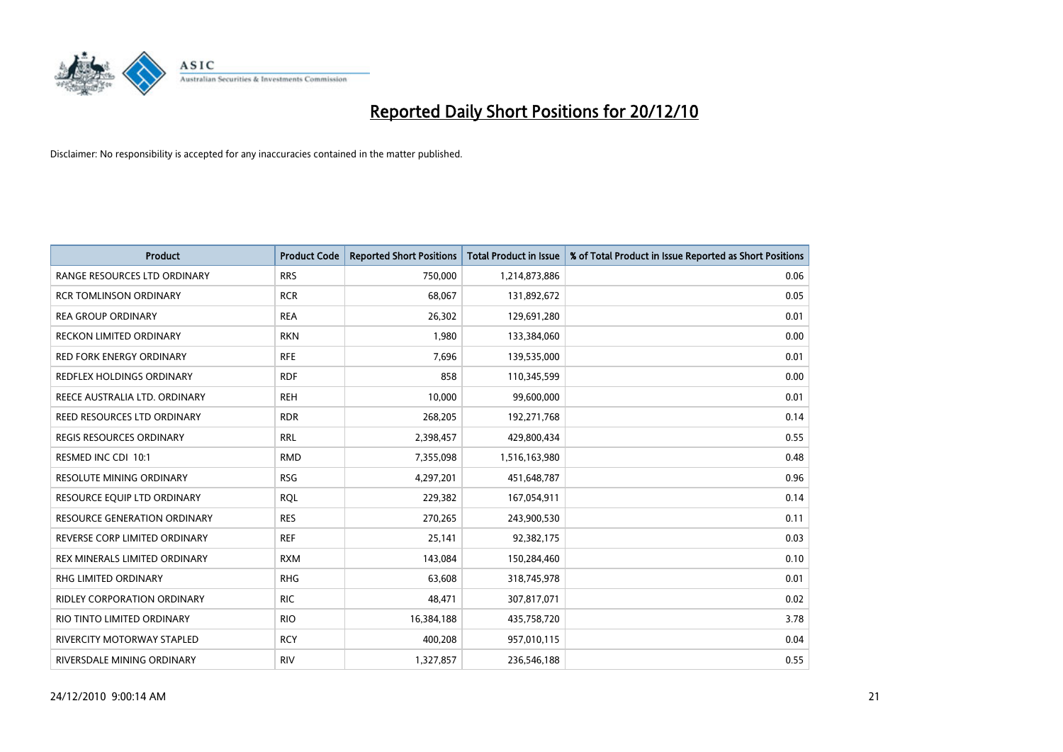

| <b>Product</b>                      | <b>Product Code</b> | <b>Reported Short Positions</b> | Total Product in Issue | % of Total Product in Issue Reported as Short Positions |
|-------------------------------------|---------------------|---------------------------------|------------------------|---------------------------------------------------------|
| RANGE RESOURCES LTD ORDINARY        | <b>RRS</b>          | 750,000                         | 1,214,873,886          | 0.06                                                    |
| <b>RCR TOMLINSON ORDINARY</b>       | <b>RCR</b>          | 68,067                          | 131,892,672            | 0.05                                                    |
| <b>REA GROUP ORDINARY</b>           | <b>REA</b>          | 26,302                          | 129,691,280            | 0.01                                                    |
| <b>RECKON LIMITED ORDINARY</b>      | <b>RKN</b>          | 1,980                           | 133,384,060            | 0.00                                                    |
| <b>RED FORK ENERGY ORDINARY</b>     | <b>RFE</b>          | 7,696                           | 139,535,000            | 0.01                                                    |
| REDFLEX HOLDINGS ORDINARY           | <b>RDF</b>          | 858                             | 110,345,599            | 0.00                                                    |
| REECE AUSTRALIA LTD. ORDINARY       | <b>REH</b>          | 10,000                          | 99,600,000             | 0.01                                                    |
| REED RESOURCES LTD ORDINARY         | <b>RDR</b>          | 268,205                         | 192,271,768            | 0.14                                                    |
| REGIS RESOURCES ORDINARY            | <b>RRL</b>          | 2,398,457                       | 429,800,434            | 0.55                                                    |
| RESMED INC CDI 10:1                 | <b>RMD</b>          | 7,355,098                       | 1,516,163,980          | 0.48                                                    |
| <b>RESOLUTE MINING ORDINARY</b>     | <b>RSG</b>          | 4,297,201                       | 451,648,787            | 0.96                                                    |
| RESOURCE EQUIP LTD ORDINARY         | <b>ROL</b>          | 229,382                         | 167,054,911            | 0.14                                                    |
| <b>RESOURCE GENERATION ORDINARY</b> | <b>RES</b>          | 270,265                         | 243,900,530            | 0.11                                                    |
| REVERSE CORP LIMITED ORDINARY       | <b>REF</b>          | 25,141                          | 92,382,175             | 0.03                                                    |
| REX MINERALS LIMITED ORDINARY       | <b>RXM</b>          | 143,084                         | 150,284,460            | 0.10                                                    |
| <b>RHG LIMITED ORDINARY</b>         | <b>RHG</b>          | 63,608                          | 318,745,978            | 0.01                                                    |
| RIDLEY CORPORATION ORDINARY         | <b>RIC</b>          | 48,471                          | 307,817,071            | 0.02                                                    |
| RIO TINTO LIMITED ORDINARY          | <b>RIO</b>          | 16,384,188                      | 435,758,720            | 3.78                                                    |
| <b>RIVERCITY MOTORWAY STAPLED</b>   | <b>RCY</b>          | 400,208                         | 957,010,115            | 0.04                                                    |
| RIVERSDALE MINING ORDINARY          | <b>RIV</b>          | 1,327,857                       | 236,546,188            | 0.55                                                    |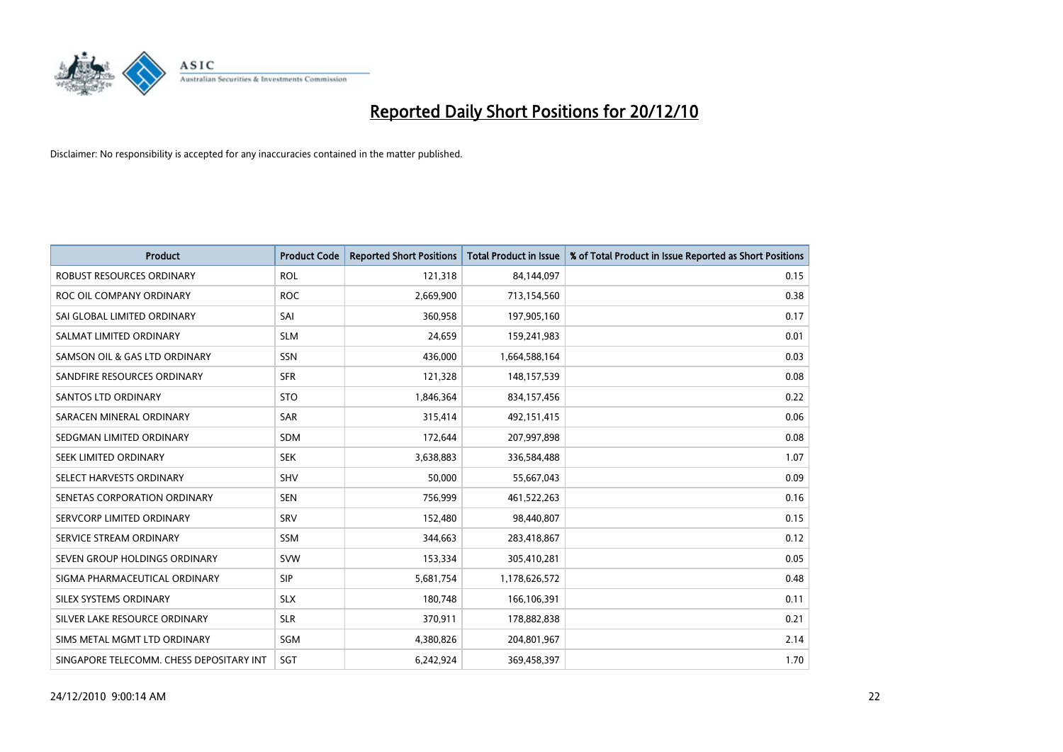

| <b>Product</b>                           | <b>Product Code</b> | <b>Reported Short Positions</b> | <b>Total Product in Issue</b> | % of Total Product in Issue Reported as Short Positions |
|------------------------------------------|---------------------|---------------------------------|-------------------------------|---------------------------------------------------------|
| <b>ROBUST RESOURCES ORDINARY</b>         | <b>ROL</b>          | 121,318                         | 84,144,097                    | 0.15                                                    |
| ROC OIL COMPANY ORDINARY                 | <b>ROC</b>          | 2,669,900                       | 713,154,560                   | 0.38                                                    |
| SAI GLOBAL LIMITED ORDINARY              | SAI                 | 360,958                         | 197,905,160                   | 0.17                                                    |
| SALMAT LIMITED ORDINARY                  | <b>SLM</b>          | 24,659                          | 159,241,983                   | 0.01                                                    |
| SAMSON OIL & GAS LTD ORDINARY            | SSN                 | 436,000                         | 1,664,588,164                 | 0.03                                                    |
| SANDFIRE RESOURCES ORDINARY              | <b>SFR</b>          | 121,328                         | 148,157,539                   | 0.08                                                    |
| <b>SANTOS LTD ORDINARY</b>               | <b>STO</b>          | 1,846,364                       | 834,157,456                   | 0.22                                                    |
| SARACEN MINERAL ORDINARY                 | <b>SAR</b>          | 315,414                         | 492,151,415                   | 0.06                                                    |
| SEDGMAN LIMITED ORDINARY                 | <b>SDM</b>          | 172,644                         | 207,997,898                   | 0.08                                                    |
| SEEK LIMITED ORDINARY                    | <b>SEK</b>          | 3,638,883                       | 336,584,488                   | 1.07                                                    |
| SELECT HARVESTS ORDINARY                 | <b>SHV</b>          | 50,000                          | 55,667,043                    | 0.09                                                    |
| SENETAS CORPORATION ORDINARY             | <b>SEN</b>          | 756,999                         | 461,522,263                   | 0.16                                                    |
| SERVCORP LIMITED ORDINARY                | SRV                 | 152,480                         | 98,440,807                    | 0.15                                                    |
| SERVICE STREAM ORDINARY                  | <b>SSM</b>          | 344,663                         | 283,418,867                   | 0.12                                                    |
| SEVEN GROUP HOLDINGS ORDINARY            | <b>SVW</b>          | 153,334                         | 305,410,281                   | 0.05                                                    |
| SIGMA PHARMACEUTICAL ORDINARY            | <b>SIP</b>          | 5,681,754                       | 1,178,626,572                 | 0.48                                                    |
| SILEX SYSTEMS ORDINARY                   | <b>SLX</b>          | 180,748                         | 166,106,391                   | 0.11                                                    |
| SILVER LAKE RESOURCE ORDINARY            | <b>SLR</b>          | 370,911                         | 178,882,838                   | 0.21                                                    |
| SIMS METAL MGMT LTD ORDINARY             | SGM                 | 4,380,826                       | 204,801,967                   | 2.14                                                    |
| SINGAPORE TELECOMM. CHESS DEPOSITARY INT | SGT                 | 6,242,924                       | 369,458,397                   | 1.70                                                    |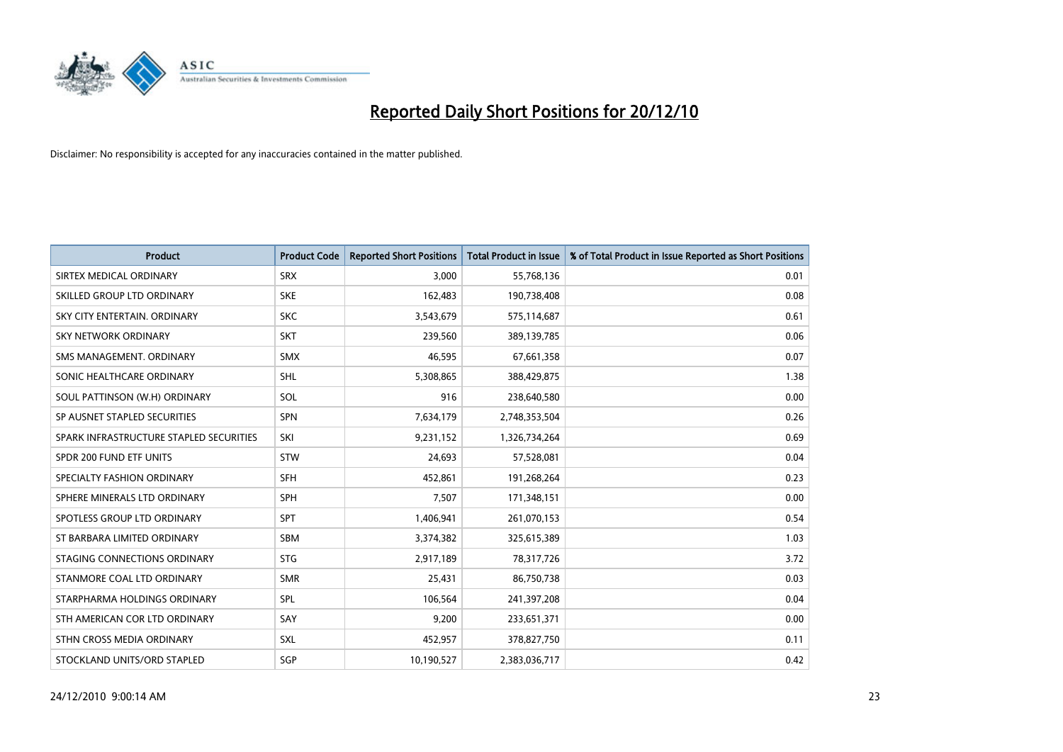

| <b>Product</b>                          | <b>Product Code</b> | <b>Reported Short Positions</b> | Total Product in Issue | % of Total Product in Issue Reported as Short Positions |
|-----------------------------------------|---------------------|---------------------------------|------------------------|---------------------------------------------------------|
| SIRTEX MEDICAL ORDINARY                 | <b>SRX</b>          | 3,000                           | 55,768,136             | 0.01                                                    |
| SKILLED GROUP LTD ORDINARY              | <b>SKE</b>          | 162,483                         | 190,738,408            | 0.08                                                    |
| SKY CITY ENTERTAIN, ORDINARY            | <b>SKC</b>          | 3,543,679                       | 575,114,687            | 0.61                                                    |
| SKY NETWORK ORDINARY                    | <b>SKT</b>          | 239,560                         | 389,139,785            | 0.06                                                    |
| SMS MANAGEMENT, ORDINARY                | <b>SMX</b>          | 46,595                          | 67,661,358             | 0.07                                                    |
| SONIC HEALTHCARE ORDINARY               | <b>SHL</b>          | 5,308,865                       | 388,429,875            | 1.38                                                    |
| SOUL PATTINSON (W.H) ORDINARY           | <b>SOL</b>          | 916                             | 238,640,580            | 0.00                                                    |
| SP AUSNET STAPLED SECURITIES            | SPN                 | 7,634,179                       | 2,748,353,504          | 0.26                                                    |
| SPARK INFRASTRUCTURE STAPLED SECURITIES | SKI                 | 9,231,152                       | 1,326,734,264          | 0.69                                                    |
| SPDR 200 FUND ETF UNITS                 | <b>STW</b>          | 24,693                          | 57,528,081             | 0.04                                                    |
| SPECIALTY FASHION ORDINARY              | <b>SFH</b>          | 452,861                         | 191,268,264            | 0.23                                                    |
| SPHERE MINERALS LTD ORDINARY            | <b>SPH</b>          | 7,507                           | 171,348,151            | 0.00                                                    |
| SPOTLESS GROUP LTD ORDINARY             | <b>SPT</b>          | 1,406,941                       | 261,070,153            | 0.54                                                    |
| ST BARBARA LIMITED ORDINARY             | SBM                 | 3,374,382                       | 325,615,389            | 1.03                                                    |
| STAGING CONNECTIONS ORDINARY            | <b>STG</b>          | 2,917,189                       | 78,317,726             | 3.72                                                    |
| STANMORE COAL LTD ORDINARY              | <b>SMR</b>          | 25,431                          | 86,750,738             | 0.03                                                    |
| STARPHARMA HOLDINGS ORDINARY            | SPL                 | 106,564                         | 241,397,208            | 0.04                                                    |
| STH AMERICAN COR LTD ORDINARY           | SAY                 | 9,200                           | 233,651,371            | 0.00                                                    |
| STHN CROSS MEDIA ORDINARY               | SXL                 | 452,957                         | 378,827,750            | 0.11                                                    |
| STOCKLAND UNITS/ORD STAPLED             | SGP                 | 10,190,527                      | 2,383,036,717          | 0.42                                                    |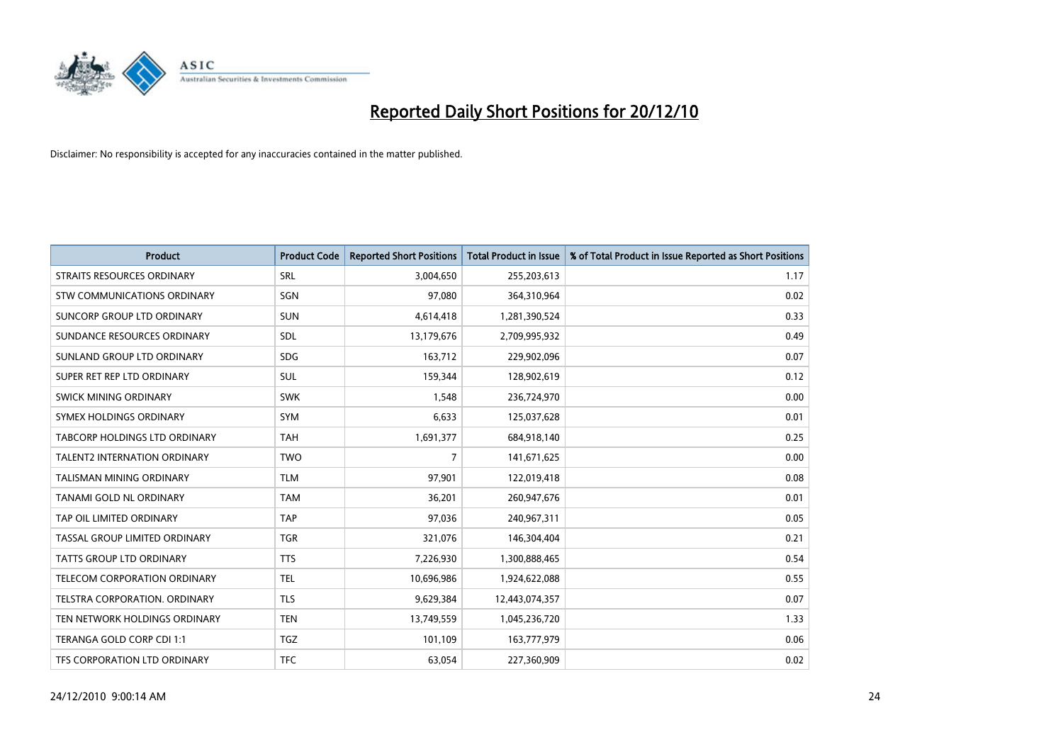

| <b>Product</b>                      | <b>Product Code</b> | <b>Reported Short Positions</b> | <b>Total Product in Issue</b> | % of Total Product in Issue Reported as Short Positions |
|-------------------------------------|---------------------|---------------------------------|-------------------------------|---------------------------------------------------------|
| <b>STRAITS RESOURCES ORDINARY</b>   | SRL                 | 3,004,650                       | 255,203,613                   | 1.17                                                    |
| STW COMMUNICATIONS ORDINARY         | SGN                 | 97,080                          | 364,310,964                   | 0.02                                                    |
| SUNCORP GROUP LTD ORDINARY          | <b>SUN</b>          | 4,614,418                       | 1,281,390,524                 | 0.33                                                    |
| SUNDANCE RESOURCES ORDINARY         | <b>SDL</b>          | 13,179,676                      | 2,709,995,932                 | 0.49                                                    |
| SUNLAND GROUP LTD ORDINARY          | <b>SDG</b>          | 163,712                         | 229,902,096                   | 0.07                                                    |
| SUPER RET REP LTD ORDINARY          | <b>SUL</b>          | 159,344                         | 128,902,619                   | 0.12                                                    |
| SWICK MINING ORDINARY               | <b>SWK</b>          | 1,548                           | 236,724,970                   | 0.00                                                    |
| SYMEX HOLDINGS ORDINARY             | <b>SYM</b>          | 6,633                           | 125,037,628                   | 0.01                                                    |
| TABCORP HOLDINGS LTD ORDINARY       | <b>TAH</b>          | 1,691,377                       | 684,918,140                   | 0.25                                                    |
| <b>TALENT2 INTERNATION ORDINARY</b> | <b>TWO</b>          | 7                               | 141,671,625                   | 0.00                                                    |
| TALISMAN MINING ORDINARY            | <b>TLM</b>          | 97,901                          | 122,019,418                   | 0.08                                                    |
| TANAMI GOLD NL ORDINARY             | <b>TAM</b>          | 36,201                          | 260,947,676                   | 0.01                                                    |
| TAP OIL LIMITED ORDINARY            | <b>TAP</b>          | 97,036                          | 240,967,311                   | 0.05                                                    |
| TASSAL GROUP LIMITED ORDINARY       | <b>TGR</b>          | 321,076                         | 146,304,404                   | 0.21                                                    |
| <b>TATTS GROUP LTD ORDINARY</b>     | <b>TTS</b>          | 7,226,930                       | 1,300,888,465                 | 0.54                                                    |
| TELECOM CORPORATION ORDINARY        | <b>TEL</b>          | 10,696,986                      | 1,924,622,088                 | 0.55                                                    |
| TELSTRA CORPORATION. ORDINARY       | <b>TLS</b>          | 9,629,384                       | 12,443,074,357                | 0.07                                                    |
| TEN NETWORK HOLDINGS ORDINARY       | <b>TEN</b>          | 13,749,559                      | 1,045,236,720                 | 1.33                                                    |
| TERANGA GOLD CORP CDI 1:1           | <b>TGZ</b>          | 101,109                         | 163,777,979                   | 0.06                                                    |
| TFS CORPORATION LTD ORDINARY        | <b>TFC</b>          | 63,054                          | 227,360,909                   | 0.02                                                    |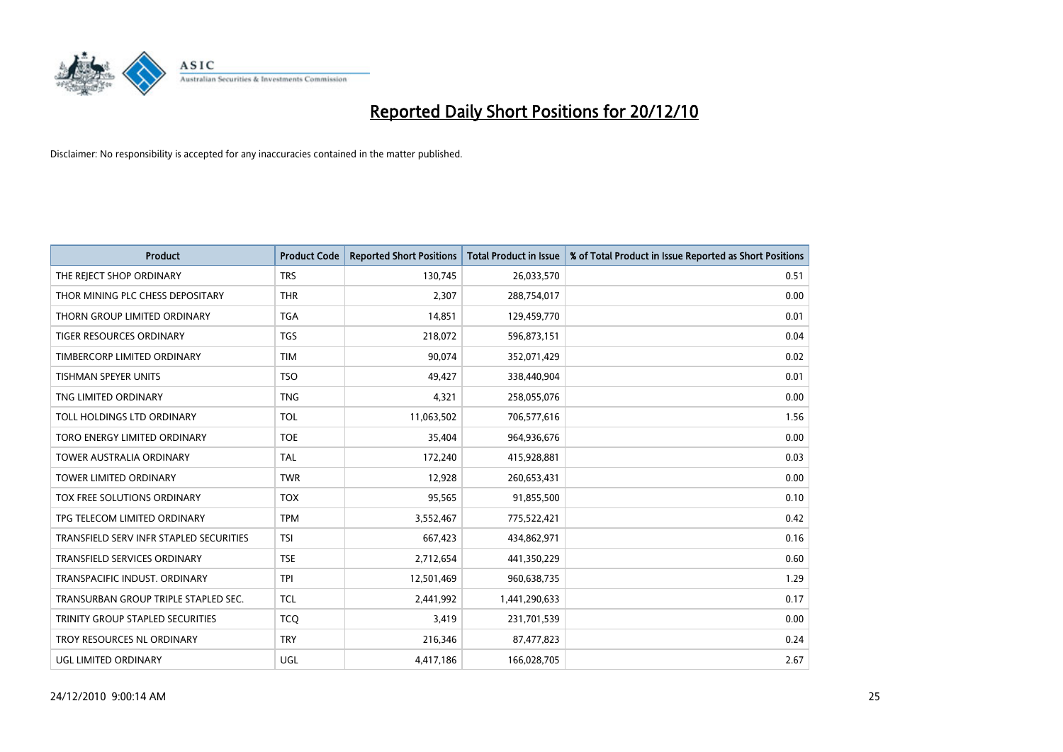

| <b>Product</b>                          | <b>Product Code</b> | <b>Reported Short Positions</b> | <b>Total Product in Issue</b> | % of Total Product in Issue Reported as Short Positions |
|-----------------------------------------|---------------------|---------------------------------|-------------------------------|---------------------------------------------------------|
| THE REJECT SHOP ORDINARY                | <b>TRS</b>          | 130,745                         | 26,033,570                    | 0.51                                                    |
| THOR MINING PLC CHESS DEPOSITARY        | <b>THR</b>          | 2,307                           | 288,754,017                   | 0.00                                                    |
| THORN GROUP LIMITED ORDINARY            | <b>TGA</b>          | 14,851                          | 129,459,770                   | 0.01                                                    |
| TIGER RESOURCES ORDINARY                | <b>TGS</b>          | 218,072                         | 596,873,151                   | 0.04                                                    |
| TIMBERCORP LIMITED ORDINARY             | <b>TIM</b>          | 90,074                          | 352,071,429                   | 0.02                                                    |
| <b>TISHMAN SPEYER UNITS</b>             | <b>TSO</b>          | 49,427                          | 338,440,904                   | 0.01                                                    |
| TNG LIMITED ORDINARY                    | <b>TNG</b>          | 4,321                           | 258,055,076                   | 0.00                                                    |
| TOLL HOLDINGS LTD ORDINARY              | <b>TOL</b>          | 11,063,502                      | 706,577,616                   | 1.56                                                    |
| TORO ENERGY LIMITED ORDINARY            | <b>TOE</b>          | 35,404                          | 964,936,676                   | 0.00                                                    |
| <b>TOWER AUSTRALIA ORDINARY</b>         | <b>TAL</b>          | 172,240                         | 415,928,881                   | 0.03                                                    |
| TOWER LIMITED ORDINARY                  | <b>TWR</b>          | 12,928                          | 260,653,431                   | 0.00                                                    |
| TOX FREE SOLUTIONS ORDINARY             | <b>TOX</b>          | 95,565                          | 91,855,500                    | 0.10                                                    |
| TPG TELECOM LIMITED ORDINARY            | <b>TPM</b>          | 3,552,467                       | 775,522,421                   | 0.42                                                    |
| TRANSFIELD SERV INFR STAPLED SECURITIES | <b>TSI</b>          | 667,423                         | 434,862,971                   | 0.16                                                    |
| <b>TRANSFIELD SERVICES ORDINARY</b>     | <b>TSE</b>          | 2,712,654                       | 441,350,229                   | 0.60                                                    |
| TRANSPACIFIC INDUST. ORDINARY           | <b>TPI</b>          | 12,501,469                      | 960,638,735                   | 1.29                                                    |
| TRANSURBAN GROUP TRIPLE STAPLED SEC.    | <b>TCL</b>          | 2,441,992                       | 1,441,290,633                 | 0.17                                                    |
| TRINITY GROUP STAPLED SECURITIES        | <b>TCQ</b>          | 3,419                           | 231,701,539                   | 0.00                                                    |
| TROY RESOURCES NL ORDINARY              | <b>TRY</b>          | 216,346                         | 87,477,823                    | 0.24                                                    |
| UGL LIMITED ORDINARY                    | UGL                 | 4,417,186                       | 166,028,705                   | 2.67                                                    |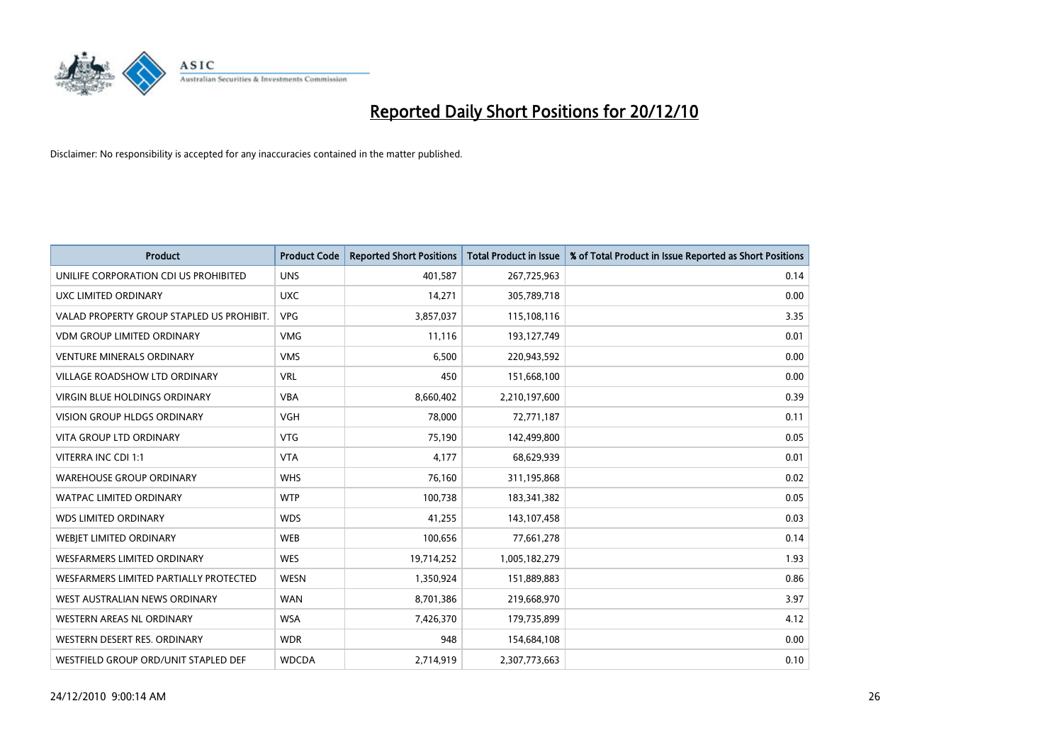

| <b>Product</b>                            | <b>Product Code</b> | <b>Reported Short Positions</b> | <b>Total Product in Issue</b> | % of Total Product in Issue Reported as Short Positions |
|-------------------------------------------|---------------------|---------------------------------|-------------------------------|---------------------------------------------------------|
| UNILIFE CORPORATION CDI US PROHIBITED     | <b>UNS</b>          | 401,587                         | 267,725,963                   | 0.14                                                    |
| UXC LIMITED ORDINARY                      | <b>UXC</b>          | 14,271                          | 305,789,718                   | 0.00                                                    |
| VALAD PROPERTY GROUP STAPLED US PROHIBIT. | <b>VPG</b>          | 3,857,037                       | 115,108,116                   | 3.35                                                    |
| <b>VDM GROUP LIMITED ORDINARY</b>         | <b>VMG</b>          | 11,116                          | 193,127,749                   | 0.01                                                    |
| <b>VENTURE MINERALS ORDINARY</b>          | <b>VMS</b>          | 6,500                           | 220,943,592                   | 0.00                                                    |
| <b>VILLAGE ROADSHOW LTD ORDINARY</b>      | <b>VRL</b>          | 450                             | 151,668,100                   | 0.00                                                    |
| <b>VIRGIN BLUE HOLDINGS ORDINARY</b>      | <b>VBA</b>          | 8,660,402                       | 2,210,197,600                 | 0.39                                                    |
| <b>VISION GROUP HLDGS ORDINARY</b>        | <b>VGH</b>          | 78,000                          | 72,771,187                    | 0.11                                                    |
| VITA GROUP LTD ORDINARY                   | <b>VTG</b>          | 75,190                          | 142,499,800                   | 0.05                                                    |
| VITERRA INC CDI 1:1                       | <b>VTA</b>          | 4.177                           | 68,629,939                    | 0.01                                                    |
| <b>WAREHOUSE GROUP ORDINARY</b>           | <b>WHS</b>          | 76,160                          | 311,195,868                   | 0.02                                                    |
| <b>WATPAC LIMITED ORDINARY</b>            | <b>WTP</b>          | 100,738                         | 183,341,382                   | 0.05                                                    |
| <b>WDS LIMITED ORDINARY</b>               | <b>WDS</b>          | 41.255                          | 143,107,458                   | 0.03                                                    |
| WEBIET LIMITED ORDINARY                   | <b>WEB</b>          | 100,656                         | 77,661,278                    | 0.14                                                    |
| <b>WESFARMERS LIMITED ORDINARY</b>        | <b>WES</b>          | 19,714,252                      | 1,005,182,279                 | 1.93                                                    |
| WESFARMERS LIMITED PARTIALLY PROTECTED    | <b>WESN</b>         | 1,350,924                       | 151,889,883                   | 0.86                                                    |
| WEST AUSTRALIAN NEWS ORDINARY             | <b>WAN</b>          | 8,701,386                       | 219,668,970                   | 3.97                                                    |
| WESTERN AREAS NL ORDINARY                 | <b>WSA</b>          | 7,426,370                       | 179,735,899                   | 4.12                                                    |
| WESTERN DESERT RES. ORDINARY              | <b>WDR</b>          | 948                             | 154,684,108                   | 0.00                                                    |
| WESTFIELD GROUP ORD/UNIT STAPLED DEF      | <b>WDCDA</b>        | 2,714,919                       | 2,307,773,663                 | 0.10                                                    |